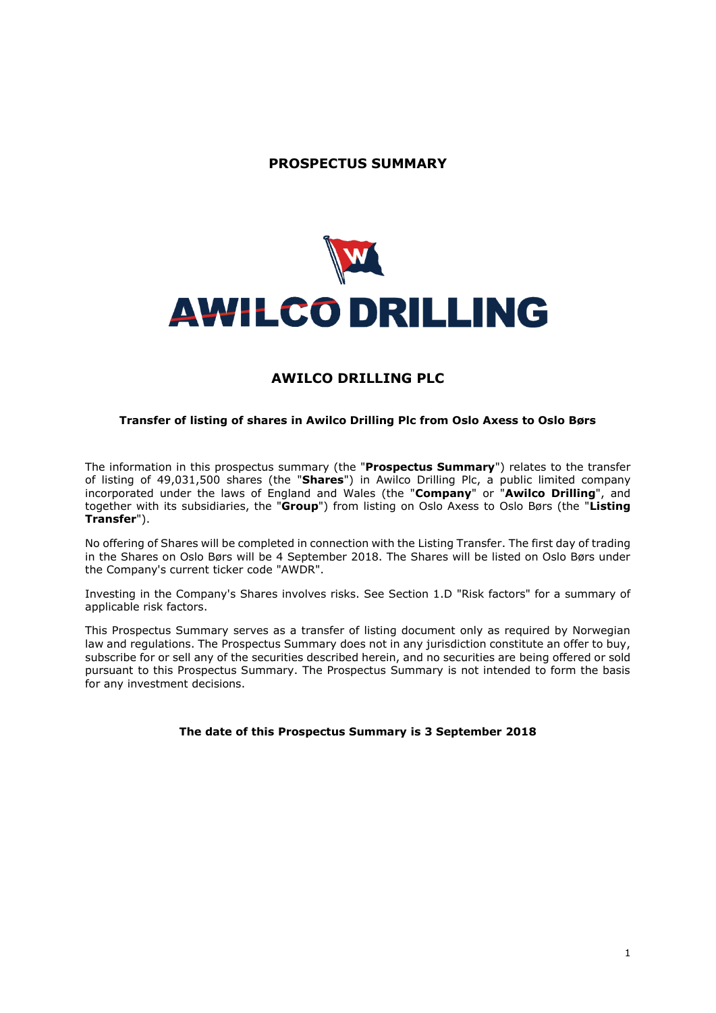# **PROSPECTUS SUMMARY**



## **AWILCO DRILLING PLC**

#### **Transfer of listing of shares in Awilco Drilling Plc from Oslo Axess to Oslo Børs**

The information in this prospectus summary (the "**Prospectus Summary**") relates to the transfer of listing of 49,031,500 shares (the "**Shares**") in Awilco Drilling Plc, a public limited company incorporated under the laws of England and Wales (the "**Company**" or "**Awilco Drilling**", and together with its subsidiaries, the "**Group**") from listing on Oslo Axess to Oslo Børs (the "**Listing Transfer**").

No offering of Shares will be completed in connection with the Listing Transfer. The first day of trading in the Shares on Oslo Børs will be 4 September 2018. The Shares will be listed on Oslo Børs under the Company's current ticker code "AWDR".

Investing in the Company's Shares involves risks. See Section 1.D "Risk factors" for a summary of applicable risk factors.

This Prospectus Summary serves as a transfer of listing document only as required by Norwegian law and regulations. The Prospectus Summary does not in any jurisdiction constitute an offer to buy, subscribe for or sell any of the securities described herein, and no securities are being offered or sold pursuant to this Prospectus Summary. The Prospectus Summary is not intended to form the basis for any investment decisions.

#### **The date of this Prospectus Summary is 3 September 2018**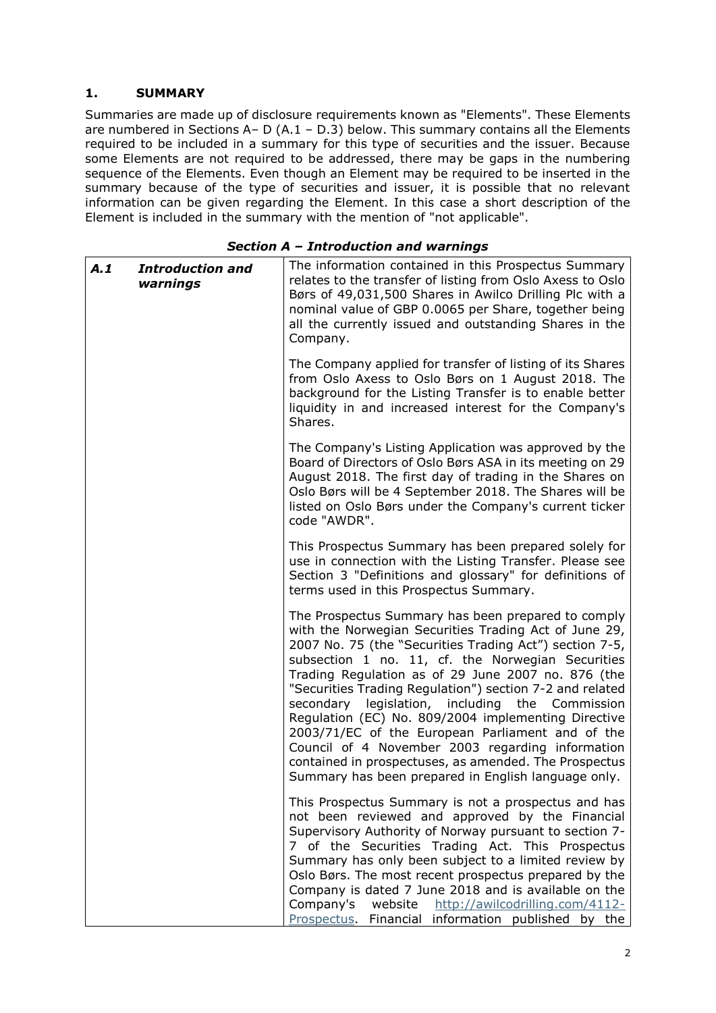## **1. SUMMARY**

Summaries are made up of disclosure requirements known as "Elements". These Elements are numbered in Sections A- D (A.1 - D.3) below. This summary contains all the Elements required to be included in a summary for this type of securities and the issuer. Because some Elements are not required to be addressed, there may be gaps in the numbering sequence of the Elements. Even though an Element may be required to be inserted in the summary because of the type of securities and issuer, it is possible that no relevant information can be given regarding the Element. In this case a short description of the Element is included in the summary with the mention of "not applicable".

### *Section A – Introduction and warnings*

| A.1 | <b>Introduction and</b><br>warnings | The information contained in this Prospectus Summary<br>relates to the transfer of listing from Oslo Axess to Oslo<br>Børs of 49,031,500 Shares in Awilco Drilling Plc with a<br>nominal value of GBP 0.0065 per Share, together being<br>all the currently issued and outstanding Shares in the<br>Company.                                                                                                                                                                                                                                                                                                                                                                          |
|-----|-------------------------------------|---------------------------------------------------------------------------------------------------------------------------------------------------------------------------------------------------------------------------------------------------------------------------------------------------------------------------------------------------------------------------------------------------------------------------------------------------------------------------------------------------------------------------------------------------------------------------------------------------------------------------------------------------------------------------------------|
|     |                                     | The Company applied for transfer of listing of its Shares<br>from Oslo Axess to Oslo Børs on 1 August 2018. The<br>background for the Listing Transfer is to enable better<br>liquidity in and increased interest for the Company's<br>Shares.                                                                                                                                                                                                                                                                                                                                                                                                                                        |
|     |                                     | The Company's Listing Application was approved by the<br>Board of Directors of Oslo Børs ASA in its meeting on 29<br>August 2018. The first day of trading in the Shares on<br>Oslo Børs will be 4 September 2018. The Shares will be<br>listed on Oslo Børs under the Company's current ticker<br>code "AWDR".                                                                                                                                                                                                                                                                                                                                                                       |
|     |                                     | This Prospectus Summary has been prepared solely for<br>use in connection with the Listing Transfer. Please see<br>Section 3 "Definitions and glossary" for definitions of<br>terms used in this Prospectus Summary.                                                                                                                                                                                                                                                                                                                                                                                                                                                                  |
|     |                                     | The Prospectus Summary has been prepared to comply<br>with the Norwegian Securities Trading Act of June 29,<br>2007 No. 75 (the "Securities Trading Act") section 7-5,<br>subsection 1 no. 11, cf. the Norwegian Securities<br>Trading Regulation as of 29 June 2007 no. 876 (the<br>"Securities Trading Regulation") section 7-2 and related<br>legislation, including the<br>secondary<br>Commission<br>Regulation (EC) No. 809/2004 implementing Directive<br>2003/71/EC of the European Parliament and of the<br>Council of 4 November 2003 regarding information<br>contained in prospectuses, as amended. The Prospectus<br>Summary has been prepared in English language only. |
|     |                                     | This Prospectus Summary is not a prospectus and has<br>not been reviewed and approved by the Financial<br>Supervisory Authority of Norway pursuant to section 7-<br>7 of the Securities Trading Act. This Prospectus<br>Summary has only been subject to a limited review by<br>Oslo Børs. The most recent prospectus prepared by the<br>Company is dated 7 June 2018 and is available on the<br>Company's<br>website<br>http://awilcodrilling.com/4112-<br>Prospectus. Financial information published by the                                                                                                                                                                        |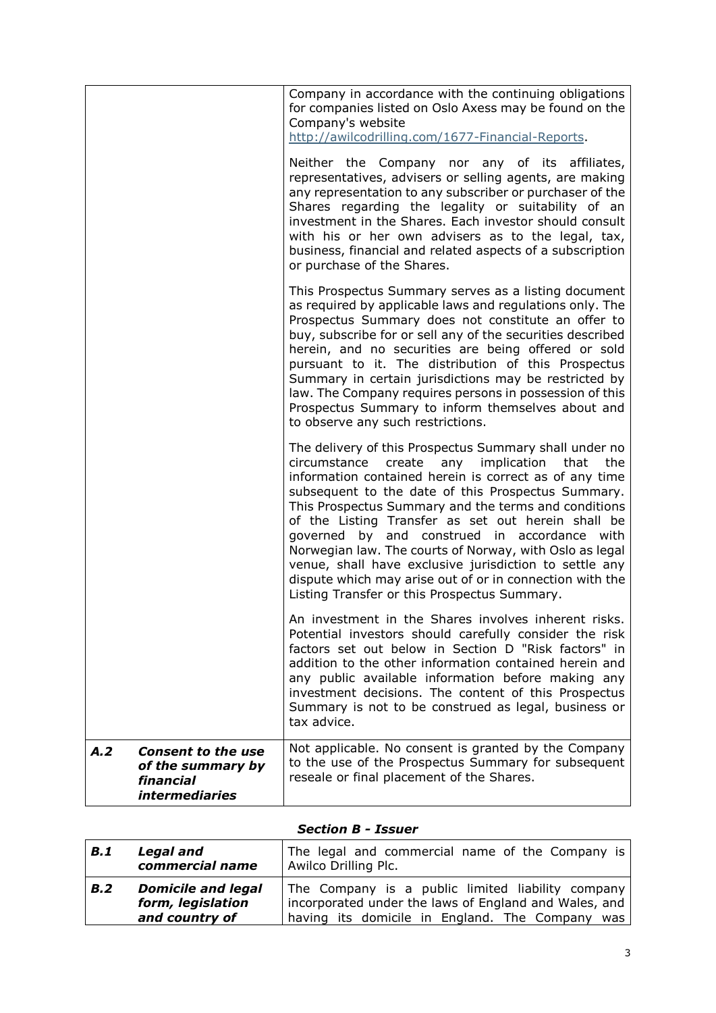|                                                                                                    | Company in accordance with the continuing obligations<br>for companies listed on Oslo Axess may be found on the<br>Company's website<br>http://awilcodrilling.com/1677-Financial-Reports.<br>Neither the Company nor any of its affiliates,<br>representatives, advisers or selling agents, are making<br>any representation to any subscriber or purchaser of the<br>Shares regarding the legality or suitability of an<br>investment in the Shares. Each investor should consult<br>with his or her own advisers as to the legal, tax,<br>business, financial and related aspects of a subscription<br>or purchase of the Shares. |
|----------------------------------------------------------------------------------------------------|-------------------------------------------------------------------------------------------------------------------------------------------------------------------------------------------------------------------------------------------------------------------------------------------------------------------------------------------------------------------------------------------------------------------------------------------------------------------------------------------------------------------------------------------------------------------------------------------------------------------------------------|
|                                                                                                    | This Prospectus Summary serves as a listing document<br>as required by applicable laws and regulations only. The<br>Prospectus Summary does not constitute an offer to<br>buy, subscribe for or sell any of the securities described<br>herein, and no securities are being offered or sold<br>pursuant to it. The distribution of this Prospectus<br>Summary in certain jurisdictions may be restricted by<br>law. The Company requires persons in possession of this<br>Prospectus Summary to inform themselves about and<br>to observe any such restrictions.                                                                    |
|                                                                                                    | The delivery of this Prospectus Summary shall under no<br>circumstance create any implication that<br>the<br>information contained herein is correct as of any time<br>subsequent to the date of this Prospectus Summary.<br>This Prospectus Summary and the terms and conditions<br>of the Listing Transfer as set out herein shall be<br>governed by and construed in accordance with<br>Norwegian law. The courts of Norway, with Oslo as legal<br>venue, shall have exclusive jurisdiction to settle any<br>dispute which may arise out of or in connection with the<br>Listing Transfer or this Prospectus Summary.            |
|                                                                                                    | An investment in the Shares involves inherent risks.<br>Potential investors should carefully consider the risk<br>factors set out below in Section D "Risk factors" in<br>addition to the other information contained herein and<br>any public available information before making any<br>investment decisions. The content of this Prospectus<br>Summary is not to be construed as legal, business or<br>tax advice.                                                                                                                                                                                                               |
| A.2<br><b>Consent to the use</b><br>of the summary by<br>financial<br><i><b>intermediaries</b></i> | Not applicable. No consent is granted by the Company<br>to the use of the Prospectus Summary for subsequent<br>reseale or final placement of the Shares.                                                                                                                                                                                                                                                                                                                                                                                                                                                                            |

## *Section B - Issuer*

| <b>B.1</b> | <b>Legal and</b><br>commercial name                              | The legal and commercial name of the Company is<br>Awilco Drilling Plc.                                                                                       |
|------------|------------------------------------------------------------------|---------------------------------------------------------------------------------------------------------------------------------------------------------------|
| B.2        | <b>Domicile and legal</b><br>form, legislation<br>and country of | The Company is a public limited liability company<br>incorporated under the laws of England and Wales, and<br>having its domicile in England. The Company was |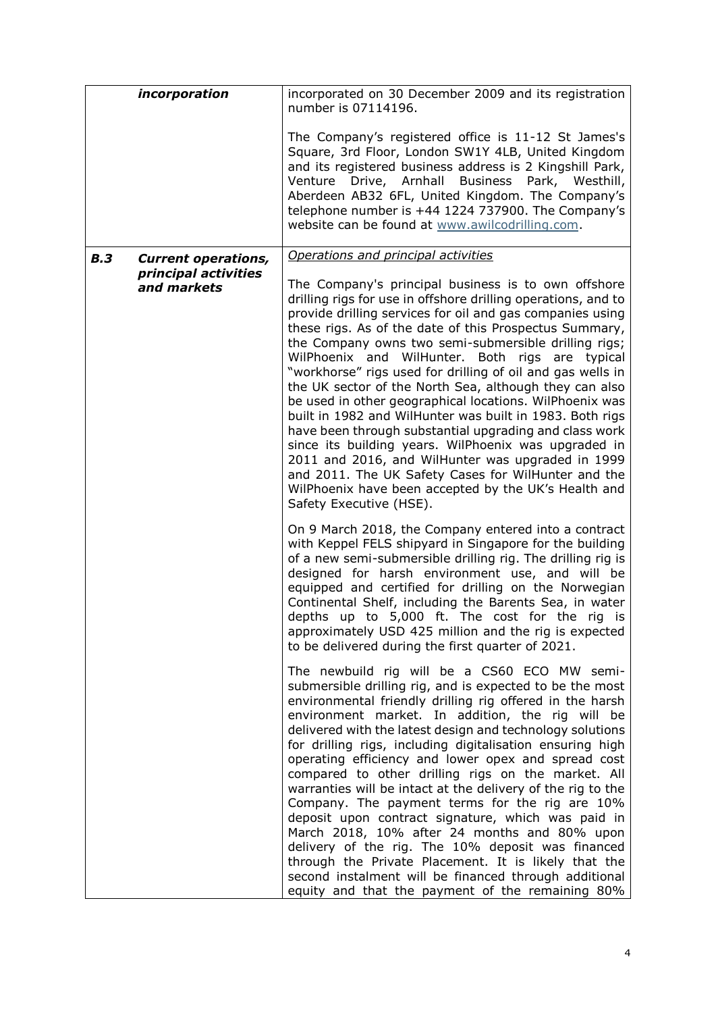|     | incorporation                       | incorporated on 30 December 2009 and its registration<br>number is 07114196.                                                                                                                                                                                                                                                                                                                                                                                                                                                                                                                                                                                                                                                                                                                                                                                                                                           |
|-----|-------------------------------------|------------------------------------------------------------------------------------------------------------------------------------------------------------------------------------------------------------------------------------------------------------------------------------------------------------------------------------------------------------------------------------------------------------------------------------------------------------------------------------------------------------------------------------------------------------------------------------------------------------------------------------------------------------------------------------------------------------------------------------------------------------------------------------------------------------------------------------------------------------------------------------------------------------------------|
|     |                                     | The Company's registered office is 11-12 St James's<br>Square, 3rd Floor, London SW1Y 4LB, United Kingdom<br>and its registered business address is 2 Kingshill Park,<br>Drive, Arnhall Business Park, Westhill,<br>Venture<br>Aberdeen AB32 6FL, United Kingdom. The Company's<br>telephone number is +44 1224 737900. The Company's<br>website can be found at www.awilcodrilling.com.                                                                                                                                                                                                                                                                                                                                                                                                                                                                                                                               |
| B.3 | <b>Current operations,</b>          | Operations and principal activities                                                                                                                                                                                                                                                                                                                                                                                                                                                                                                                                                                                                                                                                                                                                                                                                                                                                                    |
|     | principal activities<br>and markets | The Company's principal business is to own offshore<br>drilling rigs for use in offshore drilling operations, and to<br>provide drilling services for oil and gas companies using<br>these rigs. As of the date of this Prospectus Summary,<br>the Company owns two semi-submersible drilling rigs;<br>WilPhoenix and WilHunter. Both rigs are typical<br>"workhorse" rigs used for drilling of oil and gas wells in<br>the UK sector of the North Sea, although they can also<br>be used in other geographical locations. WilPhoenix was<br>built in 1982 and WilHunter was built in 1983. Both rigs<br>have been through substantial upgrading and class work<br>since its building years. WilPhoenix was upgraded in<br>2011 and 2016, and WilHunter was upgraded in 1999<br>and 2011. The UK Safety Cases for WilHunter and the<br>WilPhoenix have been accepted by the UK's Health and<br>Safety Executive (HSE). |
|     |                                     | On 9 March 2018, the Company entered into a contract<br>with Keppel FELS shipyard in Singapore for the building<br>of a new semi-submersible drilling rig. The drilling rig is<br>designed for harsh environment use, and will be<br>equipped and certified for drilling on the Norwegian<br>Continental Shelf, including the Barents Sea, in water<br>depths up to 5,000 ft. The cost for the rig is<br>approximately USD 425 million and the rig is expected<br>to be delivered during the first quarter of 2021.                                                                                                                                                                                                                                                                                                                                                                                                    |
|     |                                     | The newbuild rig will be a CS60 ECO MW semi-<br>submersible drilling rig, and is expected to be the most<br>environmental friendly drilling rig offered in the harsh<br>environment market. In addition, the rig will be<br>delivered with the latest design and technology solutions<br>for drilling rigs, including digitalisation ensuring high<br>operating efficiency and lower opex and spread cost<br>compared to other drilling rigs on the market. All<br>warranties will be intact at the delivery of the rig to the<br>Company. The payment terms for the rig are 10%<br>deposit upon contract signature, which was paid in<br>March 2018, 10% after 24 months and 80% upon<br>delivery of the rig. The 10% deposit was financed<br>through the Private Placement. It is likely that the<br>second instalment will be financed through additional<br>equity and that the payment of the remaining 80%       |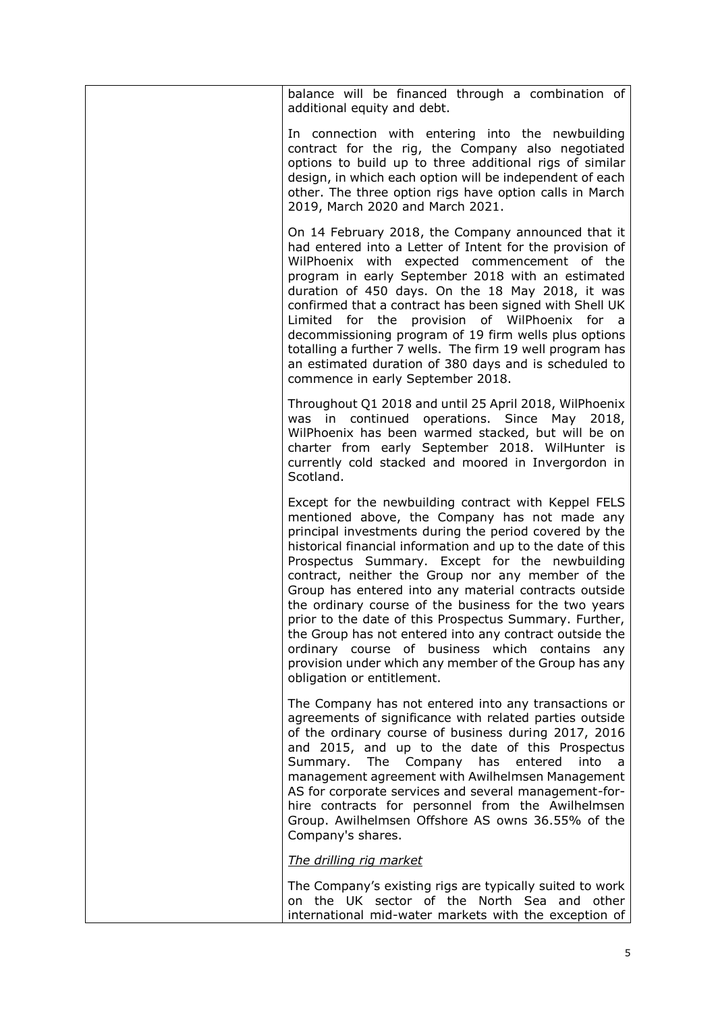| balance will be financed through a combination of<br>additional equity and debt.                                                                                                                                                                                                                                                                                                                                                                                                                                                                                                                                                                                                                                         |
|--------------------------------------------------------------------------------------------------------------------------------------------------------------------------------------------------------------------------------------------------------------------------------------------------------------------------------------------------------------------------------------------------------------------------------------------------------------------------------------------------------------------------------------------------------------------------------------------------------------------------------------------------------------------------------------------------------------------------|
| In connection with entering into the newbuilding<br>contract for the rig, the Company also negotiated<br>options to build up to three additional rigs of similar<br>design, in which each option will be independent of each<br>other. The three option rigs have option calls in March<br>2019, March 2020 and March 2021.                                                                                                                                                                                                                                                                                                                                                                                              |
| On 14 February 2018, the Company announced that it<br>had entered into a Letter of Intent for the provision of<br>WilPhoenix with expected commencement of the<br>program in early September 2018 with an estimated<br>duration of 450 days. On the 18 May 2018, it was<br>confirmed that a contract has been signed with Shell UK<br>Limited for the provision of WilPhoenix for a<br>decommissioning program of 19 firm wells plus options<br>totalling a further 7 wells. The firm 19 well program has<br>an estimated duration of 380 days and is scheduled to<br>commence in early September 2018.                                                                                                                  |
| Throughout Q1 2018 and until 25 April 2018, WilPhoenix<br>was in continued operations. Since May 2018,<br>WilPhoenix has been warmed stacked, but will be on<br>charter from early September 2018. WilHunter is<br>currently cold stacked and moored in Invergordon in<br>Scotland.                                                                                                                                                                                                                                                                                                                                                                                                                                      |
| Except for the newbuilding contract with Keppel FELS<br>mentioned above, the Company has not made any<br>principal investments during the period covered by the<br>historical financial information and up to the date of this<br>Prospectus Summary. Except for the newbuilding<br>contract, neither the Group nor any member of the<br>Group has entered into any material contracts outside<br>the ordinary course of the business for the two years<br>prior to the date of this Prospectus Summary. Further,<br>the Group has not entered into any contract outside the<br>ordinary course of business which contains<br>any<br>provision under which any member of the Group has any<br>obligation or entitlement. |
| The Company has not entered into any transactions or<br>agreements of significance with related parties outside<br>of the ordinary course of business during 2017, 2016<br>and 2015, and up to the date of this Prospectus<br>Summary. The Company<br>has<br>entered<br>into<br>a<br>management agreement with Awilhelmsen Management<br>AS for corporate services and several management-for-<br>hire contracts for personnel from the Awilhelmsen<br>Group. Awilhelmsen Offshore AS owns 36.55% of the<br>Company's shares.                                                                                                                                                                                            |
| The drilling rig market                                                                                                                                                                                                                                                                                                                                                                                                                                                                                                                                                                                                                                                                                                  |
| The Company's existing rigs are typically suited to work<br>on the UK sector of the North Sea and other<br>international mid-water markets with the exception of                                                                                                                                                                                                                                                                                                                                                                                                                                                                                                                                                         |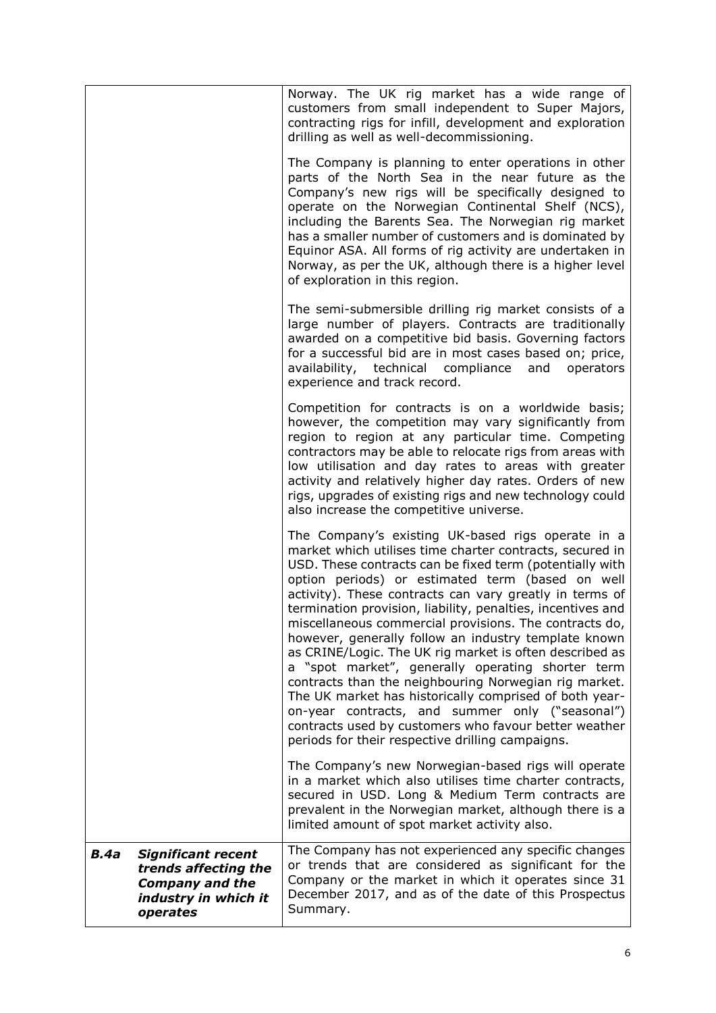|                                                                                                                                | Norway. The UK rig market has a wide range of<br>customers from small independent to Super Majors,<br>contracting rigs for infill, development and exploration<br>drilling as well as well-decommissioning.                                                                                                                                                                                                                                                                                                                                                                                                                                                                                                                                                                                                                                                                  |
|--------------------------------------------------------------------------------------------------------------------------------|------------------------------------------------------------------------------------------------------------------------------------------------------------------------------------------------------------------------------------------------------------------------------------------------------------------------------------------------------------------------------------------------------------------------------------------------------------------------------------------------------------------------------------------------------------------------------------------------------------------------------------------------------------------------------------------------------------------------------------------------------------------------------------------------------------------------------------------------------------------------------|
|                                                                                                                                | The Company is planning to enter operations in other<br>parts of the North Sea in the near future as the<br>Company's new rigs will be specifically designed to<br>operate on the Norwegian Continental Shelf (NCS),<br>including the Barents Sea. The Norwegian rig market<br>has a smaller number of customers and is dominated by<br>Equinor ASA. All forms of rig activity are undertaken in<br>Norway, as per the UK, although there is a higher level<br>of exploration in this region.                                                                                                                                                                                                                                                                                                                                                                                |
|                                                                                                                                | The semi-submersible drilling rig market consists of a<br>large number of players. Contracts are traditionally<br>awarded on a competitive bid basis. Governing factors<br>for a successful bid are in most cases based on; price,<br>availability, technical compliance and<br>operators<br>experience and track record.                                                                                                                                                                                                                                                                                                                                                                                                                                                                                                                                                    |
|                                                                                                                                | Competition for contracts is on a worldwide basis;<br>however, the competition may vary significantly from<br>region to region at any particular time. Competing<br>contractors may be able to relocate rigs from areas with<br>low utilisation and day rates to areas with greater<br>activity and relatively higher day rates. Orders of new<br>rigs, upgrades of existing rigs and new technology could<br>also increase the competitive universe.                                                                                                                                                                                                                                                                                                                                                                                                                        |
|                                                                                                                                | The Company's existing UK-based rigs operate in a<br>market which utilises time charter contracts, secured in<br>USD. These contracts can be fixed term (potentially with<br>option periods) or estimated term (based on well<br>activity). These contracts can vary greatly in terms of<br>termination provision, liability, penalties, incentives and<br>miscellaneous commercial provisions. The contracts do,<br>however, generally follow an industry template known<br>as CRINE/Logic. The UK rig market is often described as<br>a "spot market", generally operating shorter term<br>contracts than the neighbouring Norwegian rig market.<br>The UK market has historically comprised of both year-<br>on-year contracts, and summer only ("seasonal")<br>contracts used by customers who favour better weather<br>periods for their respective drilling campaigns. |
|                                                                                                                                | The Company's new Norwegian-based rigs will operate<br>in a market which also utilises time charter contracts,<br>secured in USD. Long & Medium Term contracts are<br>prevalent in the Norwegian market, although there is a<br>limited amount of spot market activity also.                                                                                                                                                                                                                                                                                                                                                                                                                                                                                                                                                                                                 |
| <b>B.4a</b><br><b>Significant recent</b><br>trends affecting the<br><b>Company and the</b><br>industry in which it<br>operates | The Company has not experienced any specific changes<br>or trends that are considered as significant for the<br>Company or the market in which it operates since 31<br>December 2017, and as of the date of this Prospectus<br>Summary.                                                                                                                                                                                                                                                                                                                                                                                                                                                                                                                                                                                                                                      |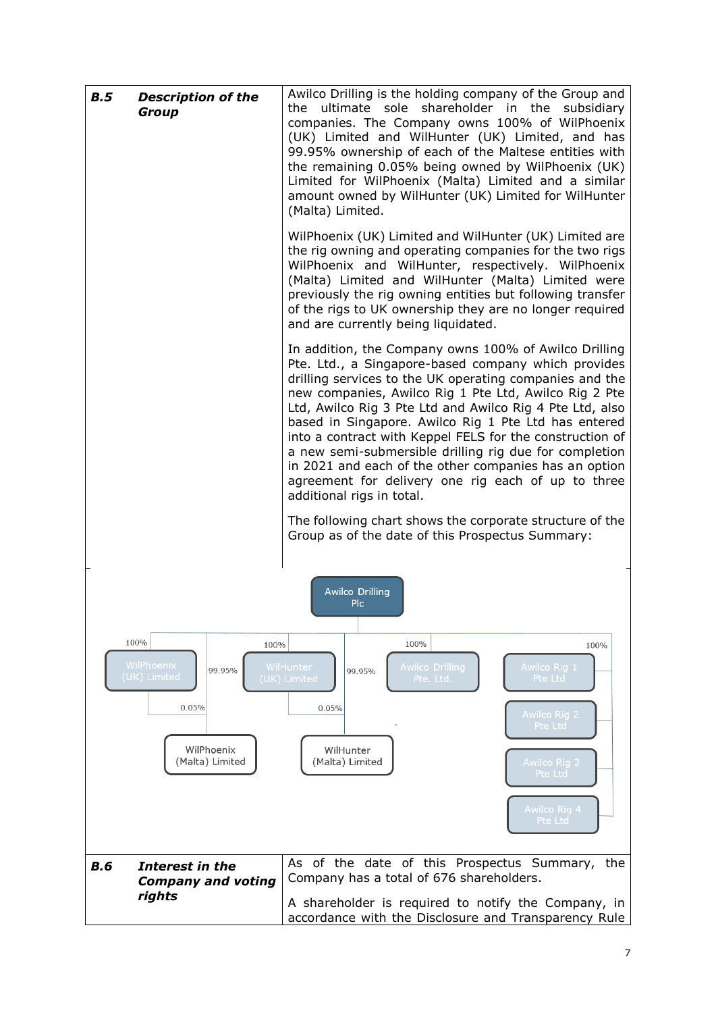| B.5<br><b>Description of the</b><br><b>Group</b>                                               | Awilco Drilling is the holding company of the Group and<br>ultimate sole shareholder in the<br>the<br>subsidiary<br>companies. The Company owns 100% of WilPhoenix<br>(UK) Limited and WilHunter (UK) Limited, and has<br>99.95% ownership of each of the Maltese entities with<br>the remaining 0.05% being owned by WilPhoenix (UK)<br>Limited for WilPhoenix (Malta) Limited and a similar<br>amount owned by WilHunter (UK) Limited for WilHunter<br>(Malta) Limited.                                                                                                                                                                                                                                                              |  |  |  |
|------------------------------------------------------------------------------------------------|----------------------------------------------------------------------------------------------------------------------------------------------------------------------------------------------------------------------------------------------------------------------------------------------------------------------------------------------------------------------------------------------------------------------------------------------------------------------------------------------------------------------------------------------------------------------------------------------------------------------------------------------------------------------------------------------------------------------------------------|--|--|--|
|                                                                                                | WilPhoenix (UK) Limited and WilHunter (UK) Limited are<br>the rig owning and operating companies for the two rigs<br>WilPhoenix and WilHunter, respectively. WilPhoenix<br>(Malta) Limited and WilHunter (Malta) Limited were<br>previously the rig owning entities but following transfer<br>of the rigs to UK ownership they are no longer required<br>and are currently being liquidated.                                                                                                                                                                                                                                                                                                                                           |  |  |  |
|                                                                                                | In addition, the Company owns 100% of Awilco Drilling<br>Pte. Ltd., a Singapore-based company which provides<br>drilling services to the UK operating companies and the<br>new companies, Awilco Rig 1 Pte Ltd, Awilco Rig 2 Pte<br>Ltd, Awilco Rig 3 Pte Ltd and Awilco Rig 4 Pte Ltd, also<br>based in Singapore. Awilco Rig 1 Pte Ltd has entered<br>into a contract with Keppel FELS for the construction of<br>a new semi-submersible drilling rig due for completion<br>in 2021 and each of the other companies has an option<br>agreement for delivery one rig each of up to three<br>additional rigs in total.<br>The following chart shows the corporate structure of the<br>Group as of the date of this Prospectus Summary: |  |  |  |
|                                                                                                | <b>Awilco Drilling</b><br>Plc.                                                                                                                                                                                                                                                                                                                                                                                                                                                                                                                                                                                                                                                                                                         |  |  |  |
| 100%<br>100%<br>WilPhoenix<br>99.95%<br>(UK) Limited<br>0.05%<br>WilPhoenix<br>(Malta) Limited | 100%<br>100%<br>WilHunter<br><b>Awilco Drilling</b><br>Awilco Rig 1<br>99.95%<br>(UK) Limited<br>Pte. Ltd.<br>Pte Ltd<br>0.05%<br><b>Awilco Rig 2</b><br>Pte Ltd<br>WilHunter<br>(Malta) Limited<br>Awilco Rig 3<br>Pte Ltd<br>Awilco Rig 4<br>Pte Ltd                                                                                                                                                                                                                                                                                                                                                                                                                                                                                 |  |  |  |
| Interest in the<br><b>B.6</b>                                                                  | As of the date of this Prospectus Summary, the                                                                                                                                                                                                                                                                                                                                                                                                                                                                                                                                                                                                                                                                                         |  |  |  |
| <b>Company and voting</b><br>rights                                                            | Company has a total of 676 shareholders.<br>A shareholder is required to notify the Company, in<br>accordance with the Disclosure and Transparency Rule                                                                                                                                                                                                                                                                                                                                                                                                                                                                                                                                                                                |  |  |  |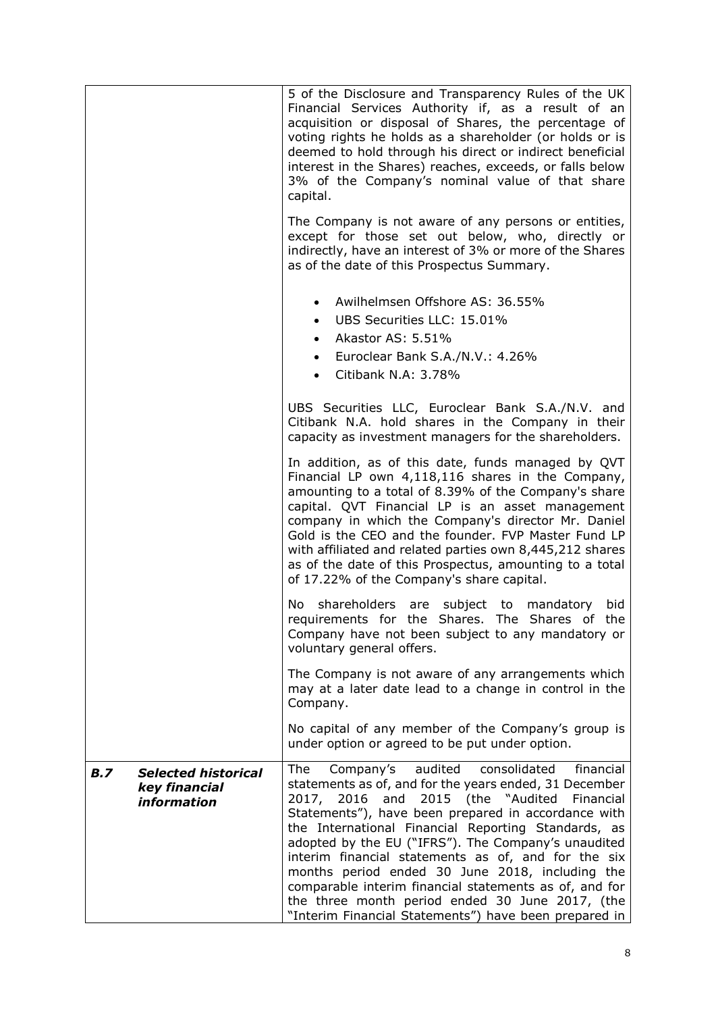|                                                                          | 5 of the Disclosure and Transparency Rules of the UK<br>Financial Services Authority if, as a result of an<br>acquisition or disposal of Shares, the percentage of<br>voting rights he holds as a shareholder (or holds or is<br>deemed to hold through his direct or indirect beneficial<br>interest in the Shares) reaches, exceeds, or falls below<br>3% of the Company's nominal value of that share<br>capital.                                                                                                                                                                                                   |  |  |  |
|--------------------------------------------------------------------------|------------------------------------------------------------------------------------------------------------------------------------------------------------------------------------------------------------------------------------------------------------------------------------------------------------------------------------------------------------------------------------------------------------------------------------------------------------------------------------------------------------------------------------------------------------------------------------------------------------------------|--|--|--|
|                                                                          | The Company is not aware of any persons or entities,<br>except for those set out below, who, directly or<br>indirectly, have an interest of 3% or more of the Shares<br>as of the date of this Prospectus Summary.                                                                                                                                                                                                                                                                                                                                                                                                     |  |  |  |
|                                                                          | Awilhelmsen Offshore AS: 36.55%<br>$\bullet$<br>UBS Securities LLC: 15.01%<br>$\bullet$<br>Akastor AS: 5.51%<br>$\bullet$<br>Euroclear Bank S.A./N.V.: 4.26%<br>Citibank N.A: 3.78%                                                                                                                                                                                                                                                                                                                                                                                                                                    |  |  |  |
|                                                                          | UBS Securities LLC, Euroclear Bank S.A./N.V. and<br>Citibank N.A. hold shares in the Company in their<br>capacity as investment managers for the shareholders.                                                                                                                                                                                                                                                                                                                                                                                                                                                         |  |  |  |
|                                                                          | In addition, as of this date, funds managed by QVT<br>Financial LP own 4,118,116 shares in the Company,<br>amounting to a total of 8.39% of the Company's share<br>capital. QVT Financial LP is an asset management<br>company in which the Company's director Mr. Daniel<br>Gold is the CEO and the founder. FVP Master Fund LP<br>with affiliated and related parties own 8,445,212 shares<br>as of the date of this Prospectus, amounting to a total<br>of 17.22% of the Company's share capital.                                                                                                                   |  |  |  |
|                                                                          | shareholders are subject to mandatory<br>No l<br>bid<br>requirements for the Shares. The Shares of the<br>Company have not been subject to any mandatory or<br>voluntary general offers.                                                                                                                                                                                                                                                                                                                                                                                                                               |  |  |  |
|                                                                          | The Company is not aware of any arrangements which<br>may at a later date lead to a change in control in the<br>Company.                                                                                                                                                                                                                                                                                                                                                                                                                                                                                               |  |  |  |
|                                                                          | No capital of any member of the Company's group is<br>under option or agreed to be put under option.                                                                                                                                                                                                                                                                                                                                                                                                                                                                                                                   |  |  |  |
| <b>Selected historical</b><br><b>B.7</b><br>key financial<br>information | audited<br>financial<br>The<br>Company's<br>consolidated<br>statements as of, and for the years ended, 31 December<br>2017, 2016 and 2015 (the "Audited Financial<br>Statements"), have been prepared in accordance with<br>the International Financial Reporting Standards, as<br>adopted by the EU ("IFRS"). The Company's unaudited<br>interim financial statements as of, and for the six<br>months period ended 30 June 2018, including the<br>comparable interim financial statements as of, and for<br>the three month period ended 30 June 2017, (the<br>"Interim Financial Statements") have been prepared in |  |  |  |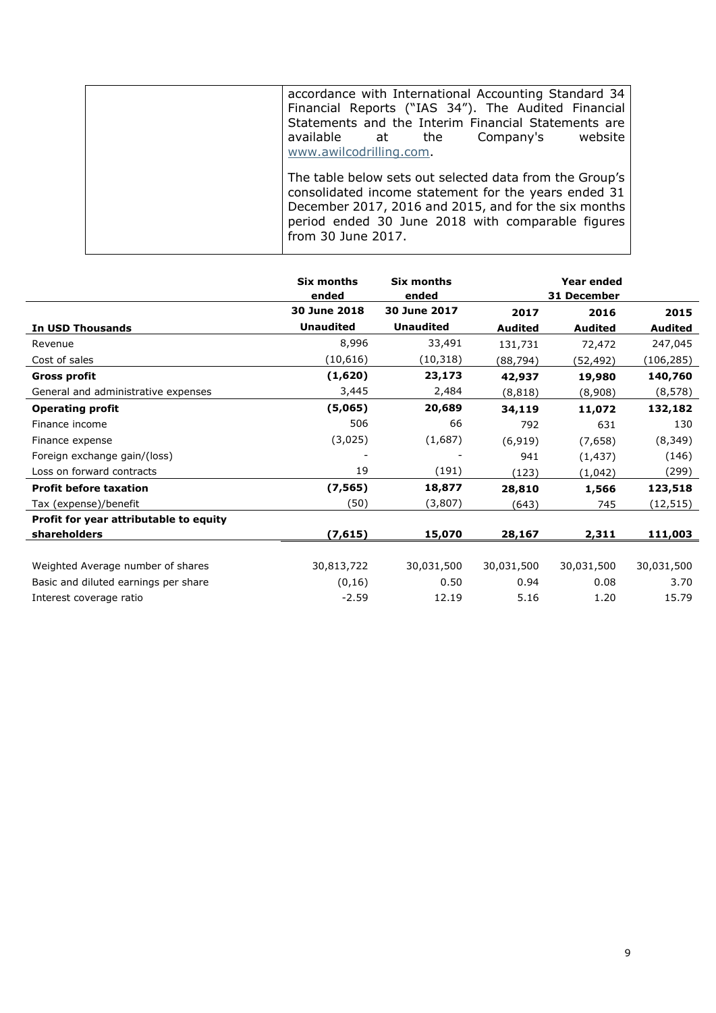| accordance with International Accounting Standard 34<br>Financial Reports ("IAS 34"). The Audited Financial<br>Statements and the Interim Financial Statements are<br>available at the<br>website<br>Company's<br>www.awilcodrilling.com           |
|----------------------------------------------------------------------------------------------------------------------------------------------------------------------------------------------------------------------------------------------------|
| The table below sets out selected data from the Group's<br>consolidated income statement for the years ended 31<br>December 2017, 2016 and 2015, and for the six months<br>period ended 30 June 2018 with comparable figures<br>from 30 June 2017. |

|                                        | Six months<br>ended | <b>Six months</b><br>ended |                | Year ended<br>31 December |                |
|----------------------------------------|---------------------|----------------------------|----------------|---------------------------|----------------|
|                                        | 30 June 2018        | 30 June 2017               | 2017           | 2016                      | 2015           |
| In USD Thousands                       | <b>Unaudited</b>    | <b>Unaudited</b>           | <b>Audited</b> | <b>Audited</b>            | <b>Audited</b> |
| Revenue                                | 8,996               | 33,491                     | 131,731        | 72,472                    | 247,045        |
| Cost of sales                          | (10, 616)           | (10, 318)                  | (88,794)       | (52, 492)                 | (106,285)      |
| <b>Gross profit</b>                    | (1,620)             | 23,173                     | 42,937         | 19,980                    | 140,760        |
| General and administrative expenses    | 3,445               | 2,484                      | (8, 818)       | (8,908)                   | (8, 578)       |
| <b>Operating profit</b>                | (5,065)             | 20,689                     | 34,119         | 11,072                    | 132,182        |
| Finance income                         | 506                 | 66                         | 792            | 631                       | 130            |
| Finance expense                        | (3,025)             | (1,687)                    | (6, 919)       | (7,658)                   | (8, 349)       |
| Foreign exchange gain/(loss)           |                     |                            | 941            | (1, 437)                  | (146)          |
| Loss on forward contracts              | 19                  | (191)                      | (123)          | (1,042)                   | (299)          |
| <b>Profit before taxation</b>          | (7, 565)            | 18,877                     | 28,810         | 1,566                     | 123,518        |
| Tax (expense)/benefit                  | (50)                | (3,807)                    | (643)          | 745                       | (12, 515)      |
| Profit for year attributable to equity |                     |                            |                |                           |                |
| shareholders                           | (7, 615)            | 15,070                     | 28,167         | 2,311                     | 111,003        |
|                                        |                     |                            |                |                           |                |
| Weighted Average number of shares      | 30,813,722          | 30,031,500                 | 30,031,500     | 30,031,500                | 30,031,500     |
| Basic and diluted earnings per share   | (0, 16)             | 0.50                       | 0.94           | 0.08                      | 3.70           |
| Interest coverage ratio                | $-2.59$             | 12.19                      | 5.16           | 1.20                      | 15.79          |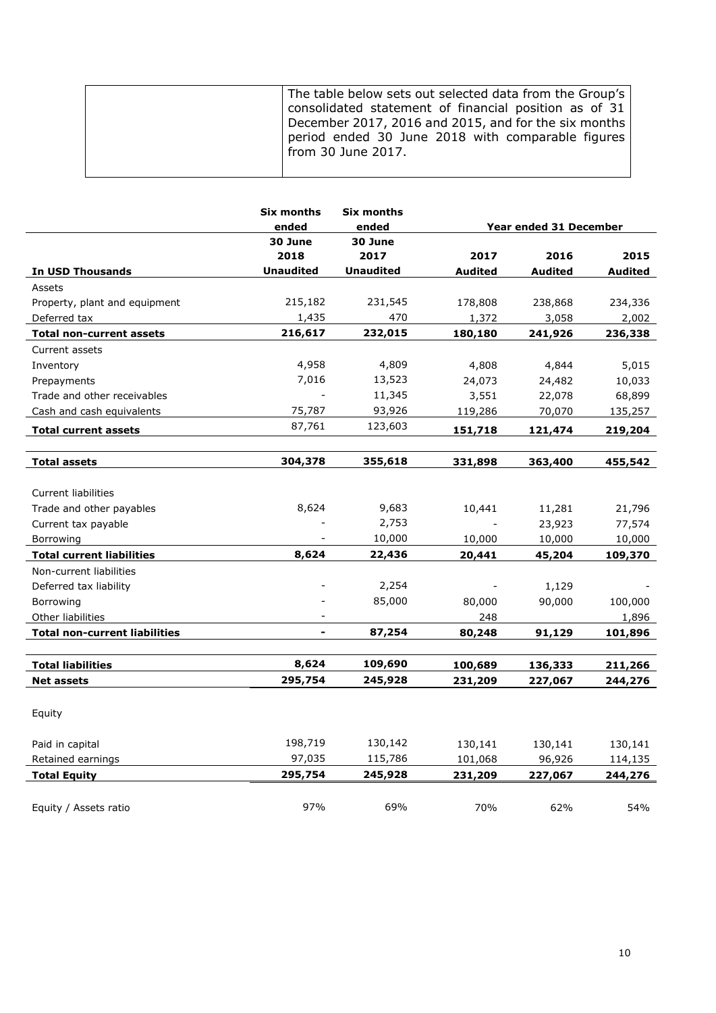| The table below sets out selected data from the Group's<br>consolidated statement of financial position as of 31                |
|---------------------------------------------------------------------------------------------------------------------------------|
| December 2017, 2016 and 2015, and for the six months<br>period ended 30 June 2018 with comparable figures<br>from 30 June 2017. |

|                                      | <b>Six months</b><br>ended | <b>Six months</b><br>ended |         | Year ended 31 December |         |
|--------------------------------------|----------------------------|----------------------------|---------|------------------------|---------|
|                                      | 30 June                    | 30 June                    |         |                        |         |
|                                      | 2018                       | 2017                       | 2017    | 2016                   | 2015    |
| <b>In USD Thousands</b>              | <b>Unaudited</b>           | <b>Unaudited</b>           | Audited | Audited                | Audited |
| Assets                               |                            |                            |         |                        |         |
| Property, plant and equipment        | 215,182                    | 231,545                    | 178,808 | 238,868                | 234,336 |
| Deferred tax                         | 1,435                      | 470                        | 1,372   | 3,058                  | 2,002   |
| <b>Total non-current assets</b>      | 216,617                    | 232,015                    | 180,180 | 241,926                | 236,338 |
| Current assets                       |                            |                            |         |                        |         |
| Inventory                            | 4,958                      | 4,809                      | 4,808   | 4,844                  | 5,015   |
| Prepayments                          | 7,016                      | 13,523                     | 24,073  | 24,482                 | 10,033  |
| Trade and other receivables          |                            | 11,345                     | 3,551   | 22,078                 | 68,899  |
| Cash and cash equivalents            | 75,787                     | 93,926                     | 119,286 | 70,070                 | 135,257 |
| <b>Total current assets</b>          | 87,761                     | 123,603                    | 151,718 | 121,474                | 219,204 |
|                                      |                            |                            |         |                        |         |
| <b>Total assets</b>                  | 304,378                    | 355,618                    | 331,898 | 363,400                | 455,542 |
|                                      |                            |                            |         |                        |         |
| <b>Current liabilities</b>           |                            |                            |         |                        |         |
| Trade and other payables             | 8,624                      | 9,683                      | 10,441  | 11,281                 | 21,796  |
| Current tax payable                  |                            | 2,753                      |         | 23,923                 | 77,574  |
| Borrowing                            |                            | 10,000                     | 10,000  | 10,000                 | 10,000  |
| <b>Total current liabilities</b>     | 8,624                      | 22,436                     | 20,441  | 45,204                 | 109,370 |
| Non-current liabilities              |                            |                            |         |                        |         |
| Deferred tax liability               |                            | 2,254                      |         | 1,129                  |         |
| Borrowing                            |                            | 85,000                     | 80,000  | 90,000                 | 100,000 |
| Other liabilities                    | $\Box$                     |                            | 248     |                        | 1,896   |
| <b>Total non-current liabilities</b> | $\overline{\phantom{0}}$   | 87,254                     | 80,248  | 91,129                 | 101,896 |
|                                      |                            |                            |         |                        |         |
| <b>Total liabilities</b>             | 8,624                      | 109,690                    | 100,689 | 136,333                | 211,266 |
| <b>Net assets</b>                    | 295,754                    | 245,928                    | 231,209 | 227,067                | 244,276 |
|                                      |                            |                            |         |                        |         |
| Equity                               |                            |                            |         |                        |         |
|                                      |                            |                            |         |                        |         |
| Paid in capital                      | 198,719                    | 130,142                    | 130,141 | 130,141                | 130,141 |
| Retained earnings                    | 97,035                     | 115,786                    | 101,068 | 96,926                 | 114,135 |
| <b>Total Equity</b>                  | 295,754                    | 245,928                    | 231,209 | 227,067                | 244,276 |
|                                      |                            |                            |         |                        |         |
| Equity / Assets ratio                | 97%                        | 69%                        | 70%     | 62%                    | 54%     |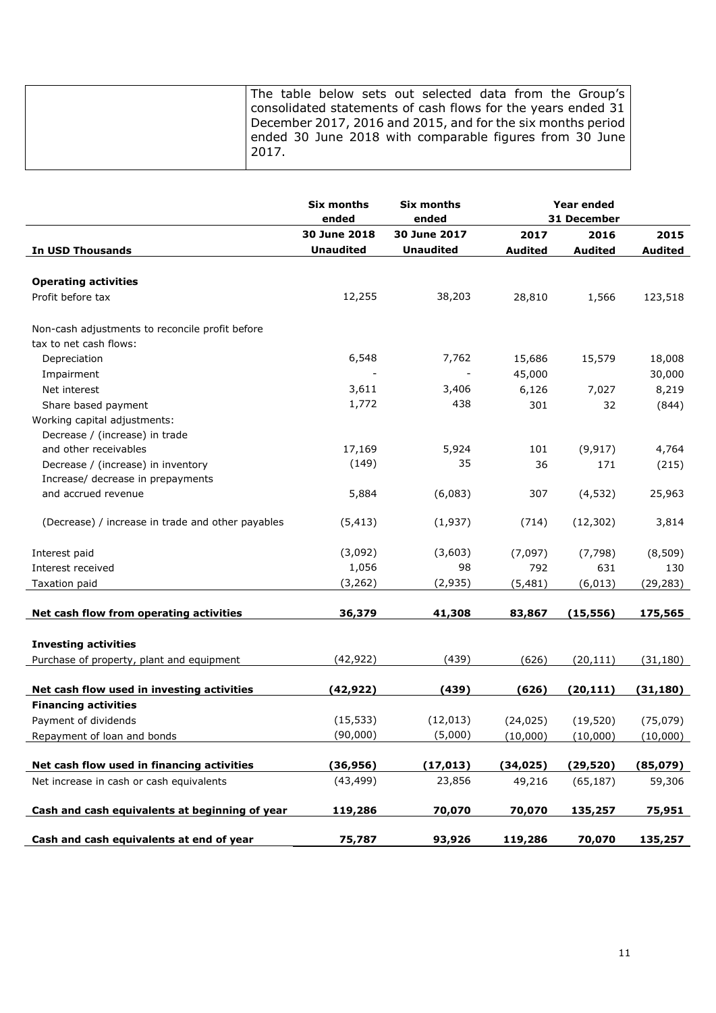|                                                   | <b>Six months</b>        | <b>Six months</b> |                | <b>Year ended</b> |                |
|---------------------------------------------------|--------------------------|-------------------|----------------|-------------------|----------------|
|                                                   | ended                    | ended             |                | 31 December       |                |
|                                                   | 30 June 2018             | 30 June 2017      | 2017           | 2016              | 2015           |
| <b>In USD Thousands</b>                           | <b>Unaudited</b>         | <b>Unaudited</b>  | <b>Audited</b> | <b>Audited</b>    | <b>Audited</b> |
|                                                   |                          |                   |                |                   |                |
| <b>Operating activities</b>                       |                          |                   |                |                   |                |
| Profit before tax                                 | 12,255                   | 38,203            | 28,810         | 1,566             | 123,518        |
| Non-cash adjustments to reconcile profit before   |                          |                   |                |                   |                |
| tax to net cash flows:                            |                          |                   |                |                   |                |
| Depreciation                                      | 6,548                    | 7,762             | 15,686         | 15,579            | 18,008         |
| Impairment                                        | $\overline{\phantom{a}}$ | $\blacksquare$    | 45,000         |                   | 30,000         |
| Net interest                                      | 3,611                    | 3,406             | 6,126          | 7,027             | 8,219          |
| Share based payment                               | 1,772                    | 438               | 301            | 32                | (844)          |
| Working capital adjustments:                      |                          |                   |                |                   |                |
| Decrease / (increase) in trade                    |                          |                   |                |                   |                |
| and other receivables                             | 17,169                   | 5,924             | 101            | (9, 917)          | 4,764          |
| Decrease / (increase) in inventory                | (149)                    | 35                | 36             | 171               | (215)          |
| Increase/ decrease in prepayments                 |                          |                   |                |                   |                |
| and accrued revenue                               | 5,884                    | (6,083)           | 307            | (4, 532)          | 25,963         |
|                                                   |                          |                   |                |                   |                |
| (Decrease) / increase in trade and other payables | (5, 413)                 | (1,937)           | (714)          | (12, 302)         | 3,814          |
|                                                   |                          |                   |                |                   |                |
| Interest paid                                     | (3,092)                  | (3,603)           | (7,097)        | (7, 798)          | (8, 509)       |
| Interest received                                 | 1,056                    | 98                | 792            | 631               | 130            |
| Taxation paid                                     | (3, 262)                 | (2,935)           | (5, 481)       | (6, 013)          | (29, 283)      |
|                                                   |                          |                   |                |                   |                |
| Net cash flow from operating activities           | 36,379                   | 41,308            | 83,867         | (15, 556)         | 175,565        |
|                                                   |                          |                   |                |                   |                |
| <b>Investing activities</b>                       |                          |                   |                |                   |                |
| Purchase of property, plant and equipment         | (42, 922)                | (439)             | (626)          | (20, 111)         | (31, 180)      |
| Net cash flow used in investing activities        | (42, 922)                | (439)             | (626)          | (20, 111)         | (31, 180)      |
| <b>Financing activities</b>                       |                          |                   |                |                   |                |
| Payment of dividends                              | (15, 533)                | (12, 013)         | (24, 025)      | (19, 520)         | (75, 079)      |
| Repayment of loan and bonds                       | (90,000)                 | (5,000)           | (10,000)       | (10,000)          | (10,000)       |
|                                                   |                          |                   |                |                   |                |
| Net cash flow used in financing activities        | (36, 956)                | (17, 013)         | (34, 025)      | (29, 520)         | (85,079)       |
| Net increase in cash or cash equivalents          | (43, 499)                | 23,856            | 49,216         | (65, 187)         | 59,306         |
|                                                   |                          |                   |                |                   |                |
| Cash and cash equivalents at beginning of year    | 119,286                  | 70,070            | 70,070         | 135,257           | 75,951         |
| Cash and cash equivalents at end of year          | 75,787                   | 93,926            | 119,286        | 70,070            | 135,257        |
|                                                   |                          |                   |                |                   |                |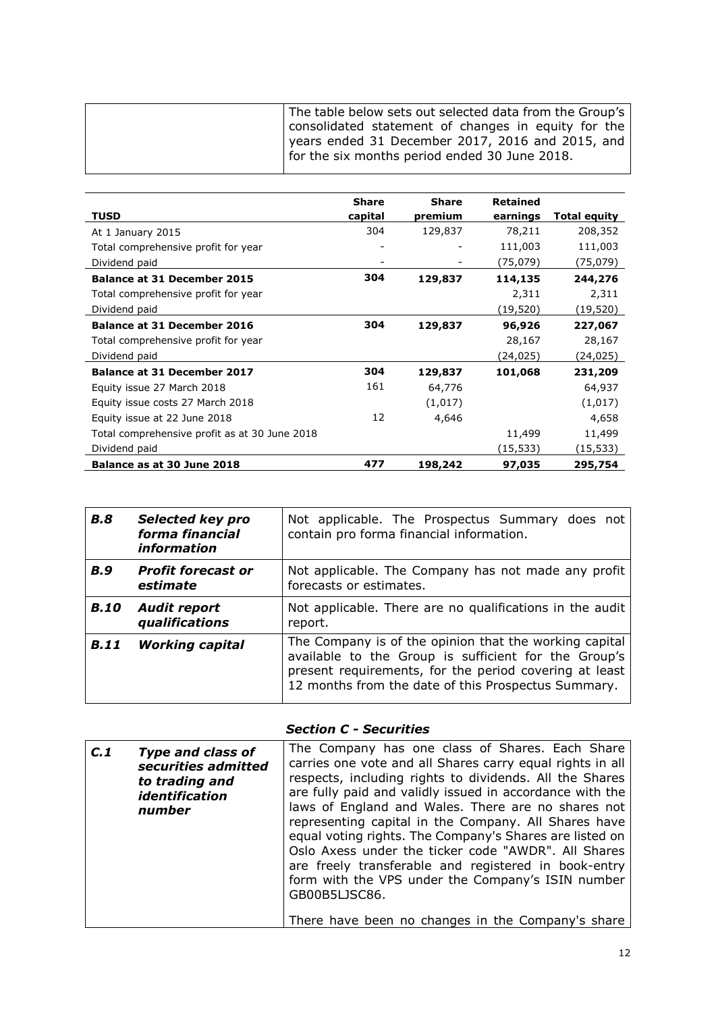|                                               | <b>Share</b> | <b>Share</b> | Retained  |              |
|-----------------------------------------------|--------------|--------------|-----------|--------------|
| TUSD                                          | capital      | premium      | earnings  | Total equity |
| At 1 January 2015                             | 304          | 129,837      | 78,211    | 208,352      |
| Total comprehensive profit for year           |              |              | 111,003   | 111,003      |
| Dividend paid                                 |              |              | (75,079)  | (75,079)     |
| <b>Balance at 31 December 2015</b>            | 304          | 129,837      | 114,135   | 244,276      |
| Total comprehensive profit for year           |              |              | 2,311     | 2,311        |
| Dividend paid                                 |              |              | (19, 520) | (19,520)     |
| <b>Balance at 31 December 2016</b>            | 304          | 129,837      | 96,926    | 227,067      |
| Total comprehensive profit for year           |              |              | 28,167    | 28,167       |
| Dividend paid                                 |              |              | (24, 025) | (24,025)     |
| <b>Balance at 31 December 2017</b>            | 304          | 129,837      | 101,068   | 231,209      |
| Equity issue 27 March 2018                    | 161          | 64,776       |           | 64,937       |
| Equity issue costs 27 March 2018              |              | (1,017)      |           | (1,017)      |
| Equity issue at 22 June 2018                  | 12           | 4,646        |           | 4,658        |
| Total comprehensive profit as at 30 June 2018 |              |              | 11,499    | 11,499       |
| Dividend paid                                 |              |              | (15,533)  | (15,533)     |
| Balance as at 30 June 2018                    | 477          | 198,242      | 97,035    | 295,754      |

| <b>B.8</b>  | <b>Selected key pro</b><br>forma financial<br>information | Not applicable. The Prospectus Summary does not<br>contain pro forma financial information.                                                                                                                                     |
|-------------|-----------------------------------------------------------|---------------------------------------------------------------------------------------------------------------------------------------------------------------------------------------------------------------------------------|
| <b>B.9</b>  | <b>Profit forecast or</b><br>estimate                     | Not applicable. The Company has not made any profit<br>forecasts or estimates.                                                                                                                                                  |
| B.10        | <b>Audit report</b><br>qualifications                     | Not applicable. There are no qualifications in the audit<br>report.                                                                                                                                                             |
| <b>B.11</b> | <b>Working capital</b>                                    | The Company is of the opinion that the working capital<br>available to the Group is sufficient for the Group's<br>present requirements, for the period covering at least<br>12 months from the date of this Prospectus Summary. |

#### *Section C - Securities*

| C.1 | <b>Type and class of</b><br>securities admitted<br>to trading and<br>identification<br>number | The Company has one class of Shares. Each Share<br>carries one vote and all Shares carry equal rights in all<br>respects, including rights to dividends. All the Shares<br>are fully paid and validly issued in accordance with the<br>laws of England and Wales. There are no shares not<br>representing capital in the Company. All Shares have<br>equal voting rights. The Company's Shares are listed on<br>Oslo Axess under the ticker code "AWDR". All Shares<br>are freely transferable and registered in book-entry |
|-----|-----------------------------------------------------------------------------------------------|-----------------------------------------------------------------------------------------------------------------------------------------------------------------------------------------------------------------------------------------------------------------------------------------------------------------------------------------------------------------------------------------------------------------------------------------------------------------------------------------------------------------------------|
|     |                                                                                               | form with the VPS under the Company's ISIN number<br>GB00B5LJSC86.                                                                                                                                                                                                                                                                                                                                                                                                                                                          |
|     |                                                                                               | There have been no changes in the Company's share                                                                                                                                                                                                                                                                                                                                                                                                                                                                           |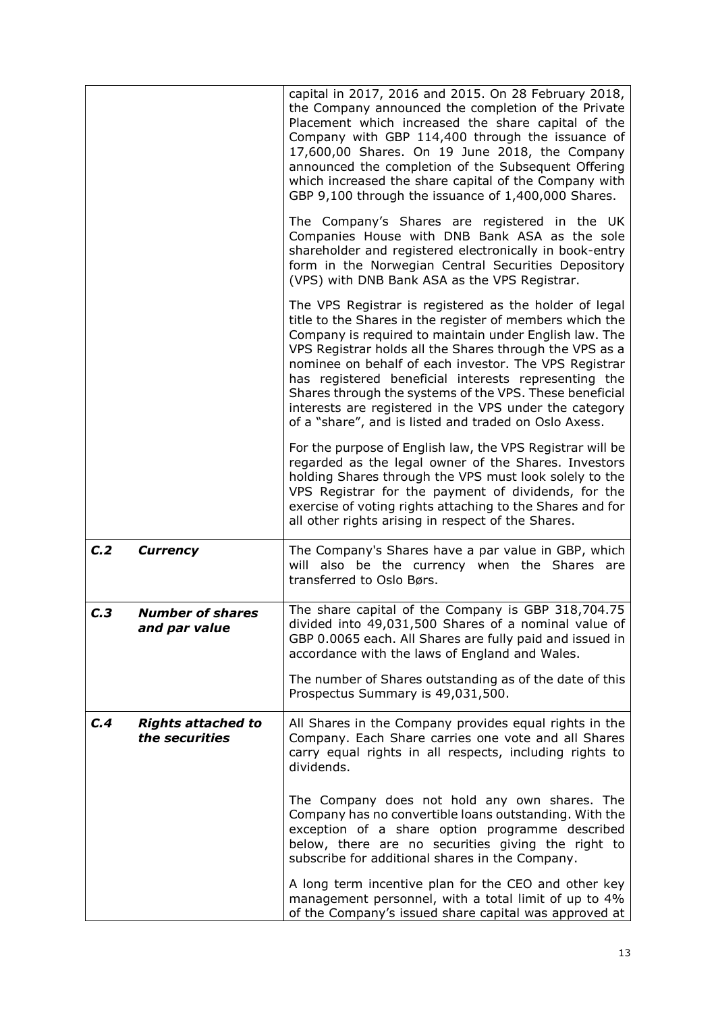|                  |                                             | capital in 2017, 2016 and 2015. On 28 February 2018,<br>the Company announced the completion of the Private<br>Placement which increased the share capital of the<br>Company with GBP 114,400 through the issuance of<br>17,600,00 Shares. On 19 June 2018, the Company<br>announced the completion of the Subsequent Offering<br>which increased the share capital of the Company with<br>GBP 9,100 through the issuance of 1,400,000 Shares.                                                                                         |
|------------------|---------------------------------------------|----------------------------------------------------------------------------------------------------------------------------------------------------------------------------------------------------------------------------------------------------------------------------------------------------------------------------------------------------------------------------------------------------------------------------------------------------------------------------------------------------------------------------------------|
|                  |                                             | The Company's Shares are registered in the UK<br>Companies House with DNB Bank ASA as the sole<br>shareholder and registered electronically in book-entry<br>form in the Norwegian Central Securities Depository<br>(VPS) with DNB Bank ASA as the VPS Registrar.                                                                                                                                                                                                                                                                      |
|                  |                                             | The VPS Registrar is registered as the holder of legal<br>title to the Shares in the register of members which the<br>Company is required to maintain under English law. The<br>VPS Registrar holds all the Shares through the VPS as a<br>nominee on behalf of each investor. The VPS Registrar<br>has registered beneficial interests representing the<br>Shares through the systems of the VPS. These beneficial<br>interests are registered in the VPS under the category<br>of a "share", and is listed and traded on Oslo Axess. |
|                  |                                             | For the purpose of English law, the VPS Registrar will be<br>regarded as the legal owner of the Shares. Investors<br>holding Shares through the VPS must look solely to the<br>VPS Registrar for the payment of dividends, for the<br>exercise of voting rights attaching to the Shares and for<br>all other rights arising in respect of the Shares.                                                                                                                                                                                  |
| C <sub>1</sub> 2 | <b>Currency</b>                             | The Company's Shares have a par value in GBP, which<br>will also be the currency when the Shares are<br>transferred to Oslo Børs.                                                                                                                                                                                                                                                                                                                                                                                                      |
| C.3              | <b>Number of shares</b><br>and par value    | The share capital of the Company is GBP 318,704.75<br>divided into 49,031,500 Shares of a nominal value of<br>GBP 0.0065 each. All Shares are fully paid and issued in<br>accordance with the laws of England and Wales.                                                                                                                                                                                                                                                                                                               |
|                  |                                             | The number of Shares outstanding as of the date of this<br>Prospectus Summary is 49,031,500.                                                                                                                                                                                                                                                                                                                                                                                                                                           |
| C.4              | <b>Rights attached to</b><br>the securities | All Shares in the Company provides equal rights in the<br>Company. Each Share carries one vote and all Shares<br>carry equal rights in all respects, including rights to<br>dividends.                                                                                                                                                                                                                                                                                                                                                 |
|                  |                                             | The Company does not hold any own shares. The<br>Company has no convertible loans outstanding. With the<br>exception of a share option programme described<br>below, there are no securities giving the right to<br>subscribe for additional shares in the Company.                                                                                                                                                                                                                                                                    |
|                  |                                             | A long term incentive plan for the CEO and other key<br>management personnel, with a total limit of up to 4%<br>of the Company's issued share capital was approved at                                                                                                                                                                                                                                                                                                                                                                  |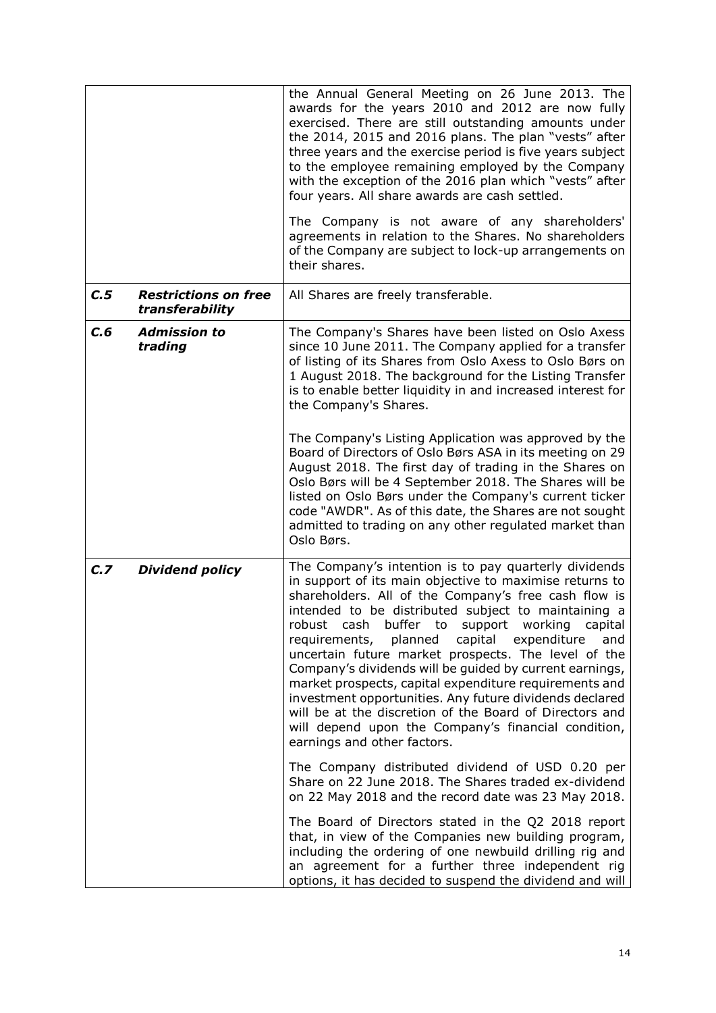|      |                                                | the Annual General Meeting on 26 June 2013. The<br>awards for the years 2010 and 2012 are now fully<br>exercised. There are still outstanding amounts under<br>the 2014, 2015 and 2016 plans. The plan "vests" after<br>three years and the exercise period is five years subject<br>to the employee remaining employed by the Company<br>with the exception of the 2016 plan which "vests" after<br>four years. All share awards are cash settled.<br>The Company is not aware of any shareholders'                                                                                                                                                                                                                                  |
|------|------------------------------------------------|---------------------------------------------------------------------------------------------------------------------------------------------------------------------------------------------------------------------------------------------------------------------------------------------------------------------------------------------------------------------------------------------------------------------------------------------------------------------------------------------------------------------------------------------------------------------------------------------------------------------------------------------------------------------------------------------------------------------------------------|
|      |                                                | agreements in relation to the Shares. No shareholders<br>of the Company are subject to lock-up arrangements on<br>their shares.                                                                                                                                                                                                                                                                                                                                                                                                                                                                                                                                                                                                       |
| C.5  | <b>Restrictions on free</b><br>transferability | All Shares are freely transferable.                                                                                                                                                                                                                                                                                                                                                                                                                                                                                                                                                                                                                                                                                                   |
| C, 6 | <b>Admission to</b><br>trading                 | The Company's Shares have been listed on Oslo Axess<br>since 10 June 2011. The Company applied for a transfer<br>of listing of its Shares from Oslo Axess to Oslo Børs on<br>1 August 2018. The background for the Listing Transfer<br>is to enable better liquidity in and increased interest for<br>the Company's Shares.                                                                                                                                                                                                                                                                                                                                                                                                           |
|      |                                                | The Company's Listing Application was approved by the<br>Board of Directors of Oslo Børs ASA in its meeting on 29<br>August 2018. The first day of trading in the Shares on<br>Oslo Børs will be 4 September 2018. The Shares will be<br>listed on Oslo Børs under the Company's current ticker<br>code "AWDR". As of this date, the Shares are not sought<br>admitted to trading on any other regulated market than<br>Oslo Børs.                                                                                                                                                                                                                                                                                                    |
| C.7  | <b>Dividend policy</b>                         | The Company's intention is to pay quarterly dividends<br>in support of its main objective to maximise returns to<br>shareholders. All of the Company's free cash flow is<br>intended to be distributed subject to maintaining a<br>buffer to support working<br>robust cash<br>capital<br>planned capital expenditure<br>requirements,<br>and<br>uncertain future market prospects. The level of the<br>Company's dividends will be guided by current earnings,<br>market prospects, capital expenditure requirements and<br>investment opportunities. Any future dividends declared<br>will be at the discretion of the Board of Directors and<br>will depend upon the Company's financial condition,<br>earnings and other factors. |
|      |                                                | The Company distributed dividend of USD 0.20 per<br>Share on 22 June 2018. The Shares traded ex-dividend<br>on 22 May 2018 and the record date was 23 May 2018.                                                                                                                                                                                                                                                                                                                                                                                                                                                                                                                                                                       |
|      |                                                | The Board of Directors stated in the Q2 2018 report<br>that, in view of the Companies new building program,<br>including the ordering of one newbuild drilling rig and<br>an agreement for a further three independent rig<br>options, it has decided to suspend the dividend and will                                                                                                                                                                                                                                                                                                                                                                                                                                                |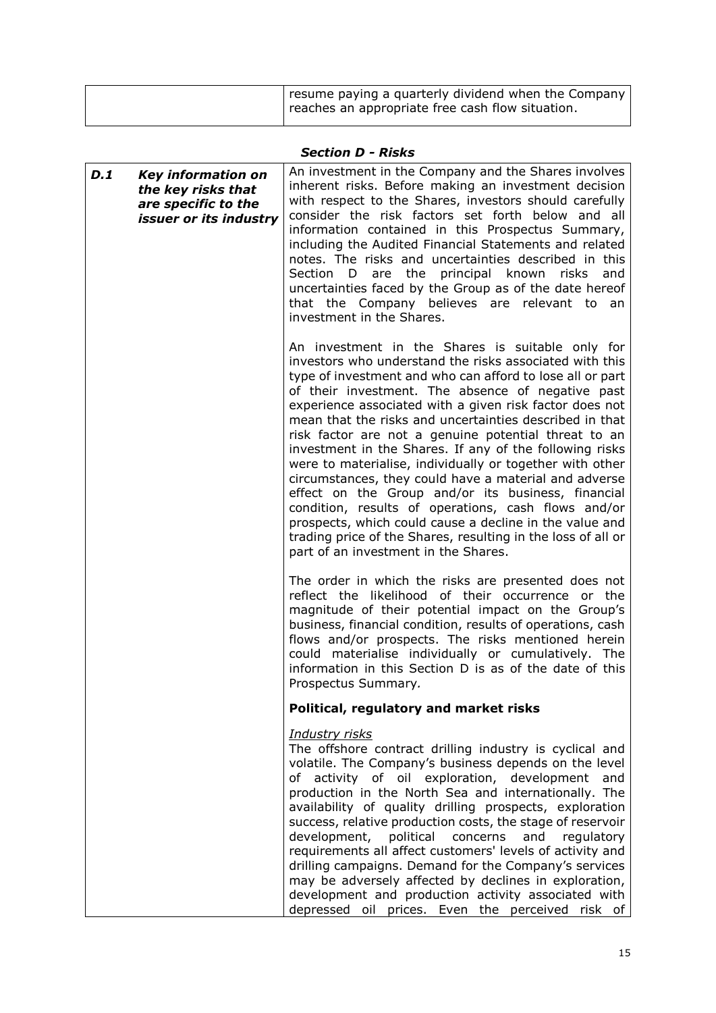## *Section D - Risks*

| D.1<br><b>Key information on</b><br>the key risks that<br>are specific to the<br>issuer or its industry | An investment in the Company and the Shares involves<br>inherent risks. Before making an investment decision<br>with respect to the Shares, investors should carefully<br>consider the risk factors set forth below and all<br>information contained in this Prospectus Summary,<br>including the Audited Financial Statements and related<br>notes. The risks and uncertainties described in this<br>principal known<br>Section D are the<br>risks<br>and<br>uncertainties faced by the Group as of the date hereof<br>that the Company believes are relevant to<br>an<br>investment in the Shares.                                                                                                                                                                                                                                                                        |
|---------------------------------------------------------------------------------------------------------|-----------------------------------------------------------------------------------------------------------------------------------------------------------------------------------------------------------------------------------------------------------------------------------------------------------------------------------------------------------------------------------------------------------------------------------------------------------------------------------------------------------------------------------------------------------------------------------------------------------------------------------------------------------------------------------------------------------------------------------------------------------------------------------------------------------------------------------------------------------------------------|
|                                                                                                         | An investment in the Shares is suitable only for<br>investors who understand the risks associated with this<br>type of investment and who can afford to lose all or part<br>of their investment. The absence of negative past<br>experience associated with a given risk factor does not<br>mean that the risks and uncertainties described in that<br>risk factor are not a genuine potential threat to an<br>investment in the Shares. If any of the following risks<br>were to materialise, individually or together with other<br>circumstances, they could have a material and adverse<br>effect on the Group and/or its business, financial<br>condition, results of operations, cash flows and/or<br>prospects, which could cause a decline in the value and<br>trading price of the Shares, resulting in the loss of all or<br>part of an investment in the Shares. |
|                                                                                                         | The order in which the risks are presented does not<br>reflect the likelihood of their occurrence or the<br>magnitude of their potential impact on the Group's<br>business, financial condition, results of operations, cash<br>flows and/or prospects. The risks mentioned herein<br>could materialise individually or cumulatively. The<br>information in this Section D is as of the date of this<br>Prospectus Summary.                                                                                                                                                                                                                                                                                                                                                                                                                                                 |
|                                                                                                         | Political, regulatory and market risks                                                                                                                                                                                                                                                                                                                                                                                                                                                                                                                                                                                                                                                                                                                                                                                                                                      |
|                                                                                                         | <b>Industry risks</b><br>The offshore contract drilling industry is cyclical and<br>volatile. The Company's business depends on the level<br>of activity of oil exploration, development<br>and<br>production in the North Sea and internationally. The<br>availability of quality drilling prospects, exploration<br>success, relative production costs, the stage of reservoir<br>development,<br>political concerns<br>and<br>regulatory<br>requirements all affect customers' levels of activity and<br>drilling campaigns. Demand for the Company's services<br>may be adversely affected by declines in exploration,<br>development and production activity associated with<br>depressed oil prices. Even the perceived risk of                                                                                                                                       |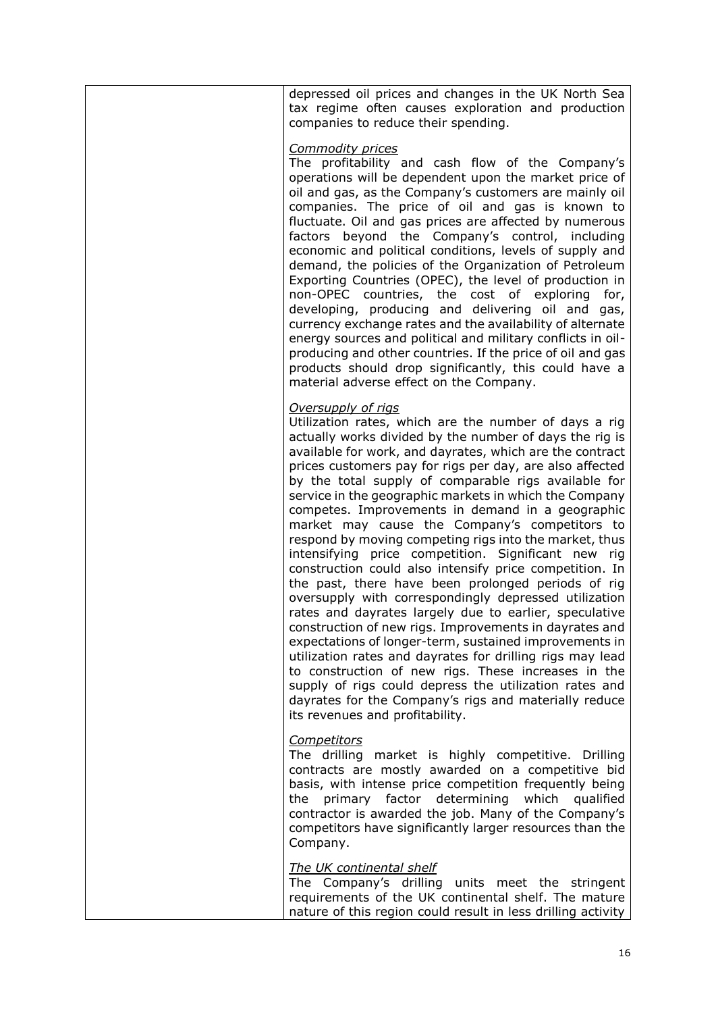depressed oil prices and changes in the UK North Sea tax regime often causes exploration and production companies to reduce their spending.

#### *Commodity prices*

The profitability and cash flow of the Company's operations will be dependent upon the market price of oil and gas, as the Company's customers are mainly oil companies. The price of oil and gas is known to fluctuate. Oil and gas prices are affected by numerous factors beyond the Company's control, including economic and political conditions, levels of supply and demand, the policies of the Organization of Petroleum Exporting Countries (OPEC), the level of production in non-OPEC countries, the cost of exploring for, developing, producing and delivering oil and gas, currency exchange rates and the availability of alternate energy sources and political and military conflicts in oilproducing and other countries. If the price of oil and gas products should drop significantly, this could have a material adverse effect on the Company.

### *Oversupply of rigs*

Utilization rates, which are the number of days a rig actually works divided by the number of days the rig is available for work, and dayrates, which are the contract prices customers pay for rigs per day, are also affected by the total supply of comparable rigs available for service in the geographic markets in which the Company competes. Improvements in demand in a geographic market may cause the Company's competitors to respond by moving competing rigs into the market, thus intensifying price competition. Significant new rig construction could also intensify price competition. In the past, there have been prolonged periods of rig oversupply with correspondingly depressed utilization rates and dayrates largely due to earlier, speculative construction of new rigs. Improvements in dayrates and expectations of longer-term, sustained improvements in utilization rates and dayrates for drilling rigs may lead to construction of new rigs. These increases in the supply of rigs could depress the utilization rates and dayrates for the Company's rigs and materially reduce its revenues and profitability.

#### *Competitors*

The drilling market is highly competitive. Drilling contracts are mostly awarded on a competitive bid basis, with intense price competition frequently being the primary factor determining which qualified contractor is awarded the job. Many of the Company's competitors have significantly larger resources than the Company.

#### *The UK continental shelf*

The Company's drilling units meet the stringent requirements of the UK continental shelf. The mature nature of this region could result in less drilling activity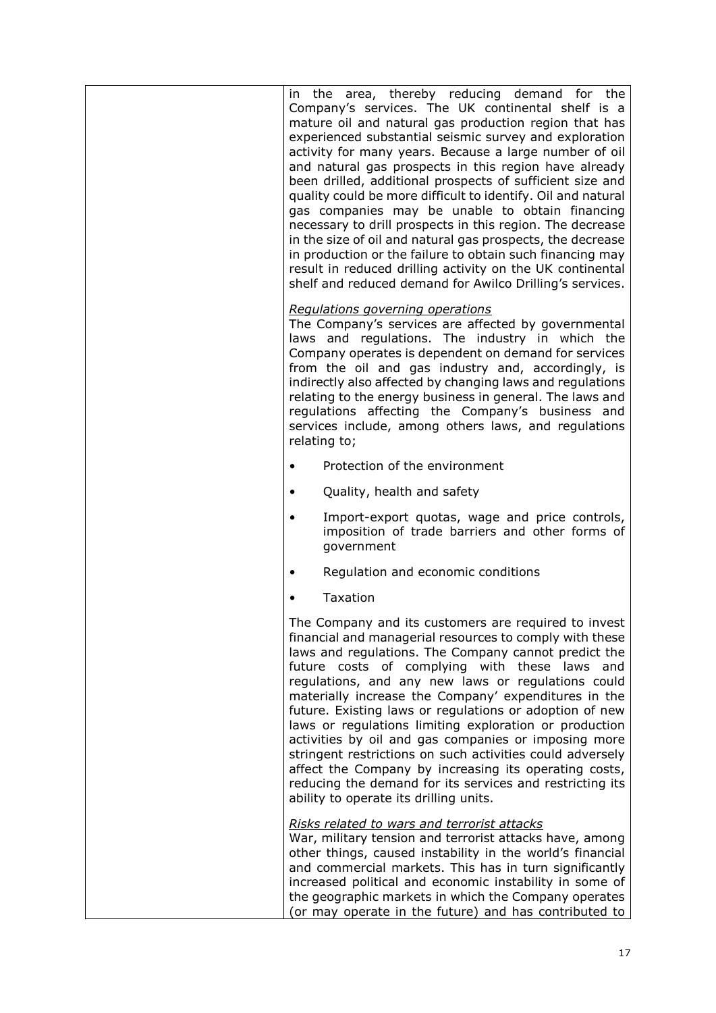| the area, thereby reducing demand for the<br>in<br>Company's services. The UK continental shelf is a<br>mature oil and natural gas production region that has<br>experienced substantial seismic survey and exploration<br>activity for many years. Because a large number of oil<br>and natural gas prospects in this region have already<br>been drilled, additional prospects of sufficient size and<br>quality could be more difficult to identify. Oil and natural<br>gas companies may be unable to obtain financing<br>necessary to drill prospects in this region. The decrease<br>in the size of oil and natural gas prospects, the decrease<br>in production or the failure to obtain such financing may<br>result in reduced drilling activity on the UK continental<br>shelf and reduced demand for Awilco Drilling's services. |
|---------------------------------------------------------------------------------------------------------------------------------------------------------------------------------------------------------------------------------------------------------------------------------------------------------------------------------------------------------------------------------------------------------------------------------------------------------------------------------------------------------------------------------------------------------------------------------------------------------------------------------------------------------------------------------------------------------------------------------------------------------------------------------------------------------------------------------------------|
| Regulations governing operations<br>The Company's services are affected by governmental<br>laws and regulations. The industry in which the<br>Company operates is dependent on demand for services<br>from the oil and gas industry and, accordingly, is<br>indirectly also affected by changing laws and regulations<br>relating to the energy business in general. The laws and<br>regulations affecting the Company's business and<br>services include, among others laws, and regulations<br>relating to;                                                                                                                                                                                                                                                                                                                               |
| Protection of the environment                                                                                                                                                                                                                                                                                                                                                                                                                                                                                                                                                                                                                                                                                                                                                                                                               |
| Quality, health and safety<br>$\bullet$                                                                                                                                                                                                                                                                                                                                                                                                                                                                                                                                                                                                                                                                                                                                                                                                     |
| Import-export quotas, wage and price controls,<br>imposition of trade barriers and other forms of<br>government                                                                                                                                                                                                                                                                                                                                                                                                                                                                                                                                                                                                                                                                                                                             |
| Regulation and economic conditions                                                                                                                                                                                                                                                                                                                                                                                                                                                                                                                                                                                                                                                                                                                                                                                                          |
| Taxation                                                                                                                                                                                                                                                                                                                                                                                                                                                                                                                                                                                                                                                                                                                                                                                                                                    |
| The Company and its customers are required to invest<br>financial and managerial resources to comply with these<br>laws and regulations. The Company cannot predict the<br>future costs of complying with these laws and<br>regulations, and any new laws or regulations could<br>materially increase the Company' expenditures in the<br>future. Existing laws or regulations or adoption of new<br>laws or regulations limiting exploration or production<br>activities by oil and gas companies or imposing more<br>stringent restrictions on such activities could adversely<br>affect the Company by increasing its operating costs,<br>reducing the demand for its services and restricting its<br>ability to operate its drilling units.                                                                                             |
| Risks related to wars and terrorist attacks<br>War, military tension and terrorist attacks have, among<br>other things, caused instability in the world's financial<br>and commercial markets. This has in turn significantly<br>increased political and economic instability in some of<br>the geographic markets in which the Company operates<br>(or may operate in the future) and has contributed to                                                                                                                                                                                                                                                                                                                                                                                                                                   |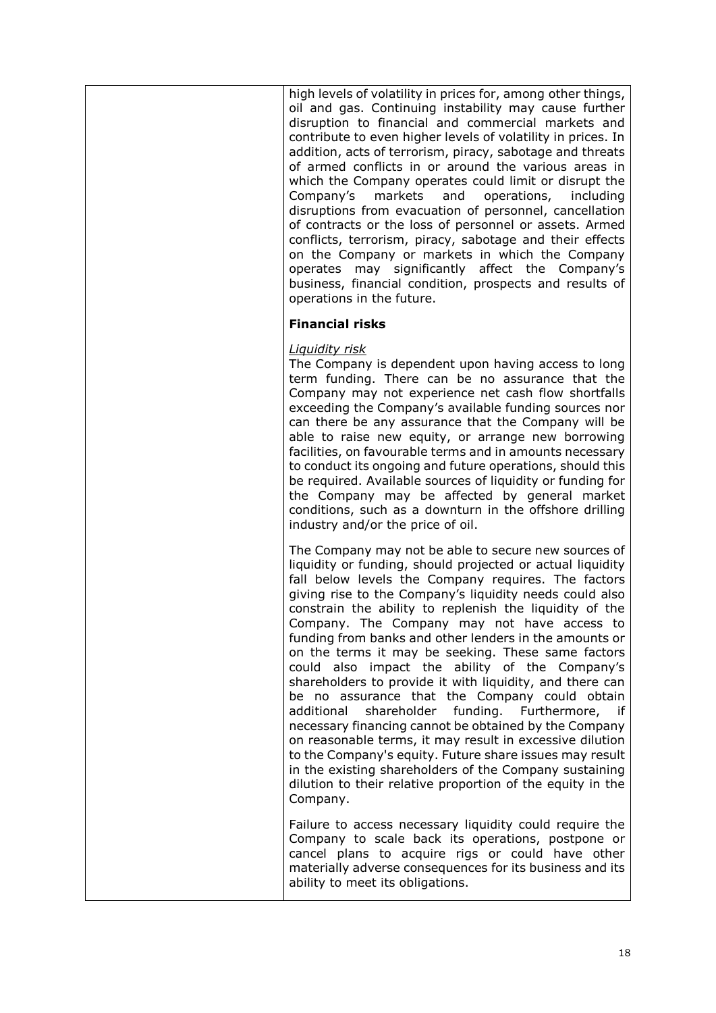high levels of volatility in prices for, among other things, oil and gas. Continuing instability may cause further disruption to financial and commercial markets and contribute to even higher levels of volatility in prices. In addition, acts of terrorism, piracy, sabotage and threats of armed conflicts in or around the various areas in which the Company operates could limit or disrupt the Company's markets and operations, including disruptions from evacuation of personnel, cancellation of contracts or the loss of personnel or assets. Armed conflicts, terrorism, piracy, sabotage and their effects on the Company or markets in which the Company operates may significantly affect the Company's business, financial condition, prospects and results of operations in the future.

### **Financial risks**

### *Liquidity risk*

The Company is dependent upon having access to long term funding. There can be no assurance that the Company may not experience net cash flow shortfalls exceeding the Company's available funding sources nor can there be any assurance that the Company will be able to raise new equity, or arrange new borrowing facilities, on favourable terms and in amounts necessary to conduct its ongoing and future operations, should this be required. Available sources of liquidity or funding for the Company may be affected by general market conditions, such as a downturn in the offshore drilling industry and/or the price of oil.

The Company may not be able to secure new sources of liquidity or funding, should projected or actual liquidity fall below levels the Company requires. The factors giving rise to the Company's liquidity needs could also constrain the ability to replenish the liquidity of the Company. The Company may not have access to funding from banks and other lenders in the amounts or on the terms it may be seeking. These same factors could also impact the ability of the Company's shareholders to provide it with liquidity, and there can be no assurance that the Company could obtain additional shareholder funding. Furthermore, if necessary financing cannot be obtained by the Company on reasonable terms, it may result in excessive dilution to the Company's equity. Future share issues may result in the existing shareholders of the Company sustaining dilution to their relative proportion of the equity in the Company.

Failure to access necessary liquidity could require the Company to scale back its operations, postpone or cancel plans to acquire rigs or could have other materially adverse consequences for its business and its ability to meet its obligations.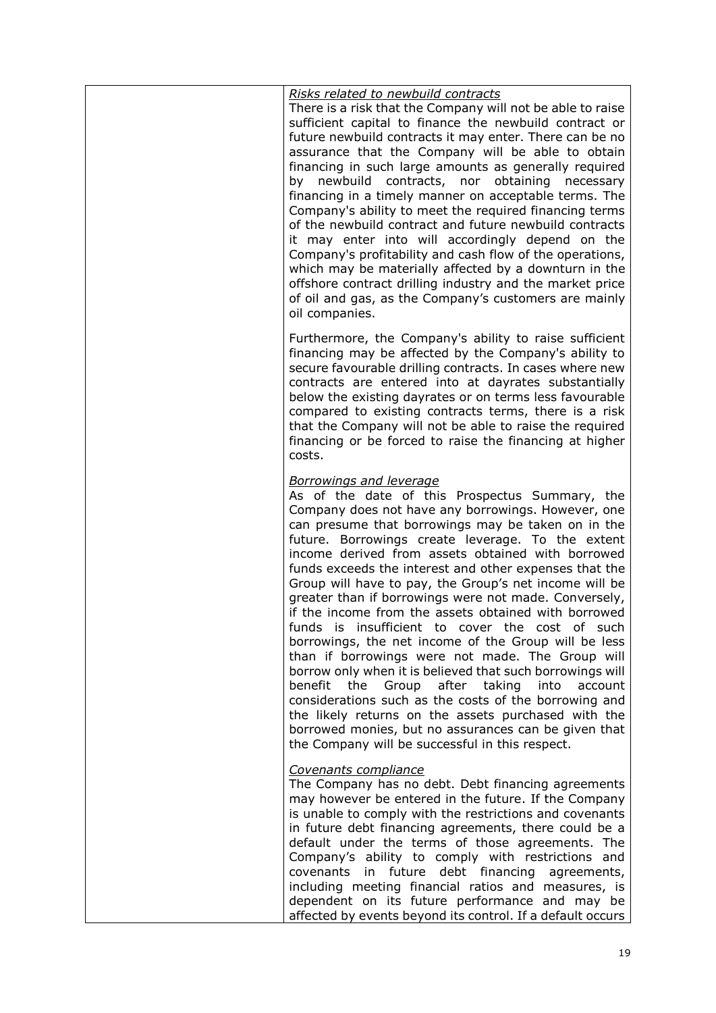| Risks related to newbuild contracts<br>There is a risk that the Company will not be able to raise<br>sufficient capital to finance the newbuild contract or<br>future newbuild contracts it may enter. There can be no<br>assurance that the Company will be able to obtain<br>financing in such large amounts as generally required<br>by newbuild contracts, nor obtaining<br>necessary<br>financing in a timely manner on acceptable terms. The<br>Company's ability to meet the required financing terms<br>of the newbuild contract and future newbuild contracts<br>it may enter into will accordingly depend on the<br>Company's profitability and cash flow of the operations,<br>which may be materially affected by a downturn in the<br>offshore contract drilling industry and the market price<br>of oil and gas, as the Company's customers are mainly<br>oil companies.                                                                                                                                                                     |
|------------------------------------------------------------------------------------------------------------------------------------------------------------------------------------------------------------------------------------------------------------------------------------------------------------------------------------------------------------------------------------------------------------------------------------------------------------------------------------------------------------------------------------------------------------------------------------------------------------------------------------------------------------------------------------------------------------------------------------------------------------------------------------------------------------------------------------------------------------------------------------------------------------------------------------------------------------------------------------------------------------------------------------------------------------|
| Furthermore, the Company's ability to raise sufficient<br>financing may be affected by the Company's ability to<br>secure favourable drilling contracts. In cases where new<br>contracts are entered into at dayrates substantially<br>below the existing dayrates or on terms less favourable<br>compared to existing contracts terms, there is a risk<br>that the Company will not be able to raise the required<br>financing or be forced to raise the financing at higher<br>costs.                                                                                                                                                                                                                                                                                                                                                                                                                                                                                                                                                                    |
| <b>Borrowings and leverage</b><br>As of the date of this Prospectus Summary, the<br>Company does not have any borrowings. However, one<br>can presume that borrowings may be taken on in the<br>future. Borrowings create leverage. To the extent<br>income derived from assets obtained with borrowed<br>funds exceeds the interest and other expenses that the<br>Group will have to pay, the Group's net income will be<br>greater than if borrowings were not made. Conversely,<br>if the income from the assets obtained with borrowed<br>funds is insufficient to cover the cost of such<br>borrowings, the net income of the Group will be less<br>than if borrowings were not made. The Group will<br>borrow only when it is believed that such borrowings will<br>benefit the Group<br>after taking<br>into<br>account<br>considerations such as the costs of the borrowing and<br>the likely returns on the assets purchased with the<br>borrowed monies, but no assurances can be given that<br>the Company will be successful in this respect. |
| Covenants compliance<br>The Company has no debt. Debt financing agreements<br>may however be entered in the future. If the Company<br>is unable to comply with the restrictions and covenants<br>in future debt financing agreements, there could be a<br>default under the terms of those agreements. The<br>Company's ability to comply with restrictions and<br>covenants in future debt financing agreements,<br>including meeting financial ratios and measures, is<br>dependent on its future performance and may be<br>affected by events beyond its control. If a default occurs                                                                                                                                                                                                                                                                                                                                                                                                                                                                   |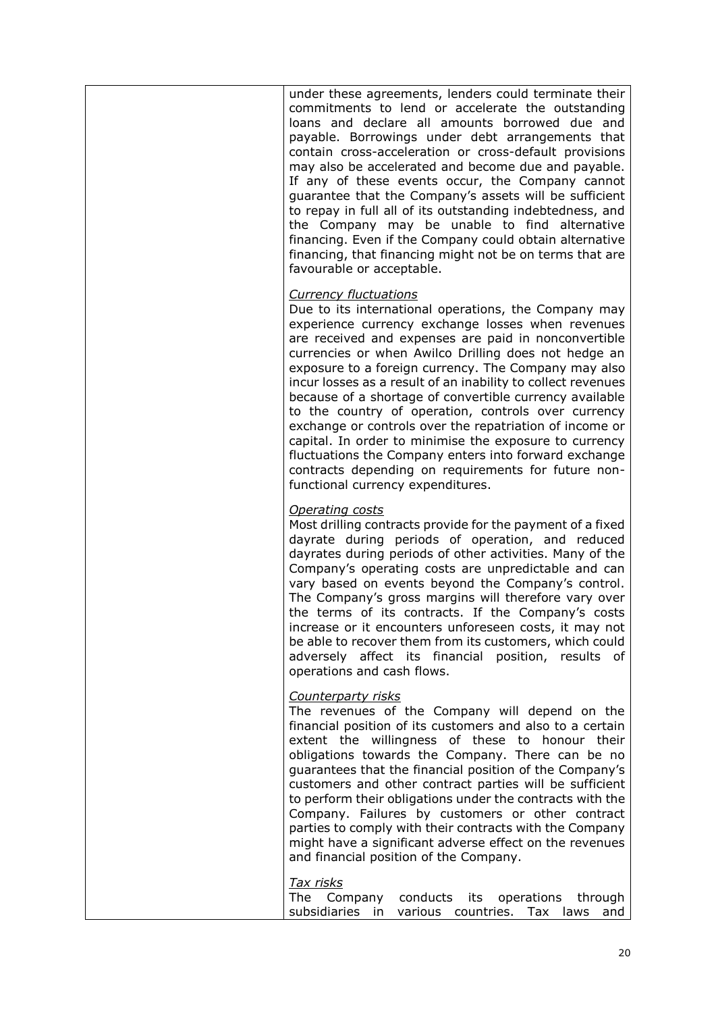| under these agreements, lenders could terminate their<br>commitments to lend or accelerate the outstanding<br>loans and declare all amounts borrowed due and<br>payable. Borrowings under debt arrangements that<br>contain cross-acceleration or cross-default provisions<br>may also be accelerated and become due and payable.<br>If any of these events occur, the Company cannot<br>guarantee that the Company's assets will be sufficient<br>to repay in full all of its outstanding indebtedness, and<br>the Company may be unable to find alternative<br>financing. Even if the Company could obtain alternative<br>financing, that financing might not be on terms that are<br>favourable or acceptable.                                                             |
|-------------------------------------------------------------------------------------------------------------------------------------------------------------------------------------------------------------------------------------------------------------------------------------------------------------------------------------------------------------------------------------------------------------------------------------------------------------------------------------------------------------------------------------------------------------------------------------------------------------------------------------------------------------------------------------------------------------------------------------------------------------------------------|
| <b>Currency fluctuations</b><br>Due to its international operations, the Company may<br>experience currency exchange losses when revenues<br>are received and expenses are paid in nonconvertible<br>currencies or when Awilco Drilling does not hedge an<br>exposure to a foreign currency. The Company may also<br>incur losses as a result of an inability to collect revenues<br>because of a shortage of convertible currency available<br>to the country of operation, controls over currency<br>exchange or controls over the repatriation of income or<br>capital. In order to minimise the exposure to currency<br>fluctuations the Company enters into forward exchange<br>contracts depending on requirements for future non-<br>functional currency expenditures. |
| <b>Operating costs</b><br>Most drilling contracts provide for the payment of a fixed<br>dayrate during periods of operation, and reduced<br>dayrates during periods of other activities. Many of the<br>Company's operating costs are unpredictable and can<br>vary based on events beyond the Company's control.<br>The Company's gross margins will therefore vary over<br>the terms of its contracts. If the Company's costs<br>increase or it encounters unforeseen costs, it may not<br>be able to recover them from its customers, which could<br>adversely affect its financial position, results of<br>operations and cash flows.                                                                                                                                     |
| Counterparty risks<br>The revenues of the Company will depend on the<br>financial position of its customers and also to a certain<br>extent the willingness of these to honour their<br>obligations towards the Company. There can be no<br>guarantees that the financial position of the Company's<br>customers and other contract parties will be sufficient<br>to perform their obligations under the contracts with the<br>Company. Failures by customers or other contract<br>parties to comply with their contracts with the Company<br>might have a significant adverse effect on the revenues<br>and financial position of the Company.                                                                                                                               |
| <u>Tax risks</u><br>The Company<br>conducts<br>its operations<br>through<br>subsidiaries in various countries. Tax laws<br>and                                                                                                                                                                                                                                                                                                                                                                                                                                                                                                                                                                                                                                                |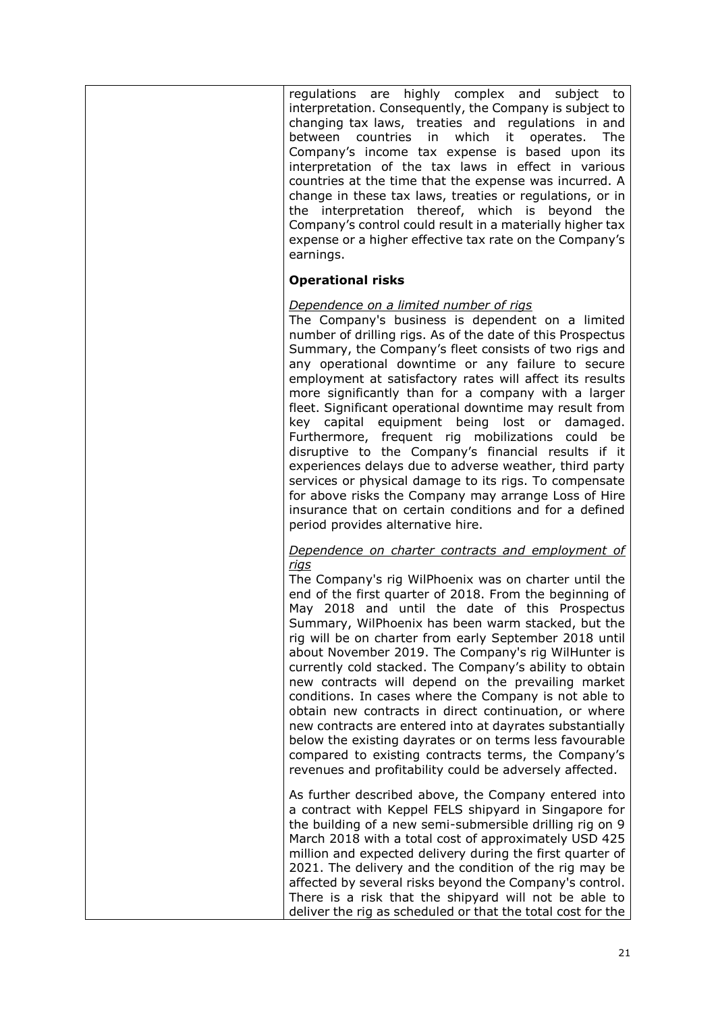| regulations are highly complex and<br>subject to<br>interpretation. Consequently, the Company is subject to<br>changing tax laws, treaties and regulations in and<br>which<br>between countries<br>in<br>it<br>The<br>operates.<br>Company's income tax expense is based upon its<br>interpretation of the tax laws in effect in various<br>countries at the time that the expense was incurred. A<br>change in these tax laws, treaties or regulations, or in<br>the interpretation thereof, which is beyond the<br>Company's control could result in a materially higher tax<br>expense or a higher effective tax rate on the Company's<br>earnings.                                                                                                                                                                                                                                     |
|--------------------------------------------------------------------------------------------------------------------------------------------------------------------------------------------------------------------------------------------------------------------------------------------------------------------------------------------------------------------------------------------------------------------------------------------------------------------------------------------------------------------------------------------------------------------------------------------------------------------------------------------------------------------------------------------------------------------------------------------------------------------------------------------------------------------------------------------------------------------------------------------|
| <b>Operational risks</b>                                                                                                                                                                                                                                                                                                                                                                                                                                                                                                                                                                                                                                                                                                                                                                                                                                                                   |
| Dependence on a limited number of rigs<br>The Company's business is dependent on a limited<br>number of drilling rigs. As of the date of this Prospectus<br>Summary, the Company's fleet consists of two rigs and<br>any operational downtime or any failure to secure<br>employment at satisfactory rates will affect its results<br>more significantly than for a company with a larger<br>fleet. Significant operational downtime may result from<br>key capital equipment being lost or damaged.<br>Furthermore, frequent rig mobilizations could be<br>disruptive to the Company's financial results if it<br>experiences delays due to adverse weather, third party<br>services or physical damage to its rigs. To compensate<br>for above risks the Company may arrange Loss of Hire<br>insurance that on certain conditions and for a defined<br>period provides alternative hire. |
| Dependence on charter contracts and employment of<br><u>rigs</u><br>The Company's rig WilPhoenix was on charter until the<br>end of the first quarter of 2018. From the beginning of<br>May 2018 and until the date of this Prospectus<br>Summary, WilPhoenix has been warm stacked, but the<br>rig will be on charter from early September 2018 until<br>about November 2019. The Company's rig WilHunter is<br>currently cold stacked. The Company's ability to obtain<br>new contracts will depend on the prevailing market<br>conditions. In cases where the Company is not able to<br>obtain new contracts in direct continuation, or where<br>new contracts are entered into at dayrates substantially<br>below the existing dayrates or on terms less favourable<br>compared to existing contracts terms, the Company's<br>revenues and profitability could be adversely affected.  |
| As further described above, the Company entered into<br>a contract with Keppel FELS shipyard in Singapore for<br>the building of a new semi-submersible drilling rig on 9<br>March 2018 with a total cost of approximately USD 425<br>million and expected delivery during the first quarter of<br>2021. The delivery and the condition of the rig may be<br>affected by several risks beyond the Company's control.<br>There is a risk that the shipyard will not be able to<br>deliver the rig as scheduled or that the total cost for the                                                                                                                                                                                                                                                                                                                                               |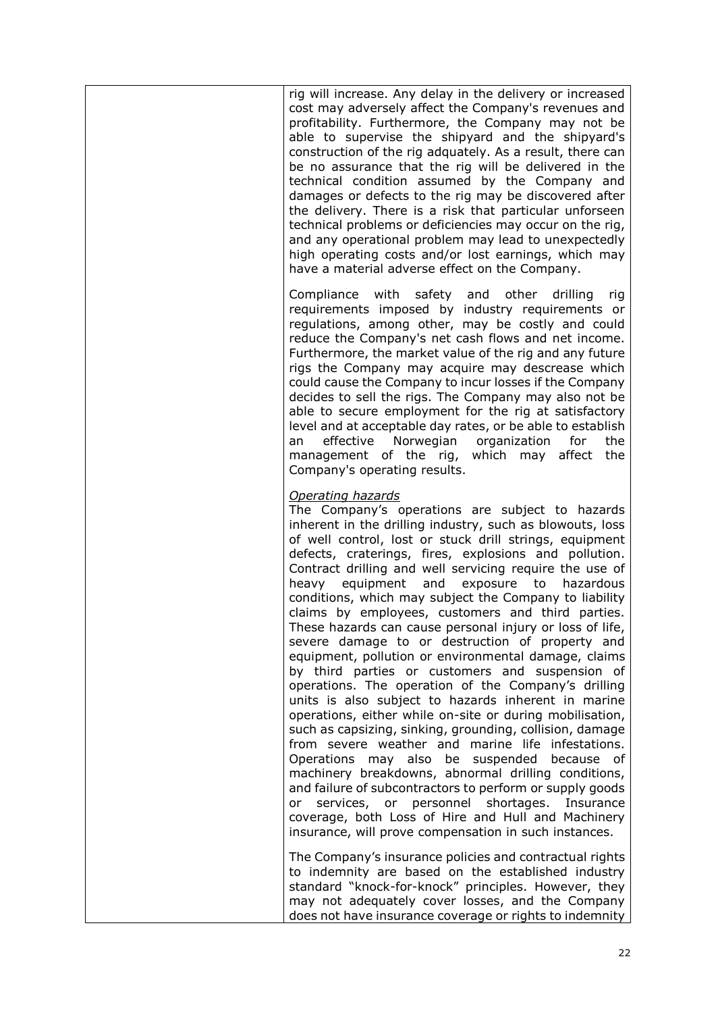| Compliance with<br>safety and other drilling                                                                                                                                                          | rig will increase. Any delay in the delivery or increased<br>cost may adversely affect the Company's revenues and<br>profitability. Furthermore, the Company may not be<br>able to supervise the shipyard and the shipyard's<br>construction of the rig adquately. As a result, there can<br>be no assurance that the rig will be delivered in the<br>technical condition assumed by the Company and<br>damages or defects to the rig may be discovered after<br>the delivery. There is a risk that particular unforseen<br>technical problems or deficiencies may occur on the rig,<br>and any operational problem may lead to unexpectedly<br>high operating costs and/or lost earnings, which may<br>have a material adverse effect on the Company.                                                                                                                                                                                                                                                                                                                                                                                                                                                                                                                                                                                                                        |
|-------------------------------------------------------------------------------------------------------------------------------------------------------------------------------------------------------|-------------------------------------------------------------------------------------------------------------------------------------------------------------------------------------------------------------------------------------------------------------------------------------------------------------------------------------------------------------------------------------------------------------------------------------------------------------------------------------------------------------------------------------------------------------------------------------------------------------------------------------------------------------------------------------------------------------------------------------------------------------------------------------------------------------------------------------------------------------------------------------------------------------------------------------------------------------------------------------------------------------------------------------------------------------------------------------------------------------------------------------------------------------------------------------------------------------------------------------------------------------------------------------------------------------------------------------------------------------------------------|
| effective<br>Norwegian<br>organization<br>for<br>an<br>management of the rig, which may affect<br>Company's operating results.                                                                        | rig<br>requirements imposed by industry requirements or<br>regulations, among other, may be costly and could<br>reduce the Company's net cash flows and net income.<br>Furthermore, the market value of the rig and any future<br>rigs the Company may acquire may descrease which<br>could cause the Company to incur losses if the Company<br>decides to sell the rigs. The Company may also not be<br>able to secure employment for the rig at satisfactory<br>level and at acceptable day rates, or be able to establish<br>the<br>the                                                                                                                                                                                                                                                                                                                                                                                                                                                                                                                                                                                                                                                                                                                                                                                                                                    |
| Operating hazards<br>heavy equipment<br>and<br>exposure<br>to<br>Operations may also be suspended<br>services, or personnel shortages.<br>or<br>insurance, will prove compensation in such instances. | The Company's operations are subject to hazards<br>inherent in the drilling industry, such as blowouts, loss<br>of well control, lost or stuck drill strings, equipment<br>defects, craterings, fires, explosions and pollution.<br>Contract drilling and well servicing require the use of<br>hazardous<br>conditions, which may subject the Company to liability<br>claims by employees, customers and third parties.<br>These hazards can cause personal injury or loss of life,<br>severe damage to or destruction of property and<br>equipment, pollution or environmental damage, claims<br>by third parties or customers and suspension of<br>operations. The operation of the Company's drilling<br>units is also subject to hazards inherent in marine<br>operations, either while on-site or during mobilisation,<br>such as capsizing, sinking, grounding, collision, damage<br>from severe weather and marine life infestations.<br>because of<br>machinery breakdowns, abnormal drilling conditions,<br>and failure of subcontractors to perform or supply goods<br>Insurance<br>coverage, both Loss of Hire and Hull and Machinery<br>The Company's insurance policies and contractual rights<br>to indemnity are based on the established industry<br>standard "knock-for-knock" principles. However, they<br>may not adequately cover losses, and the Company |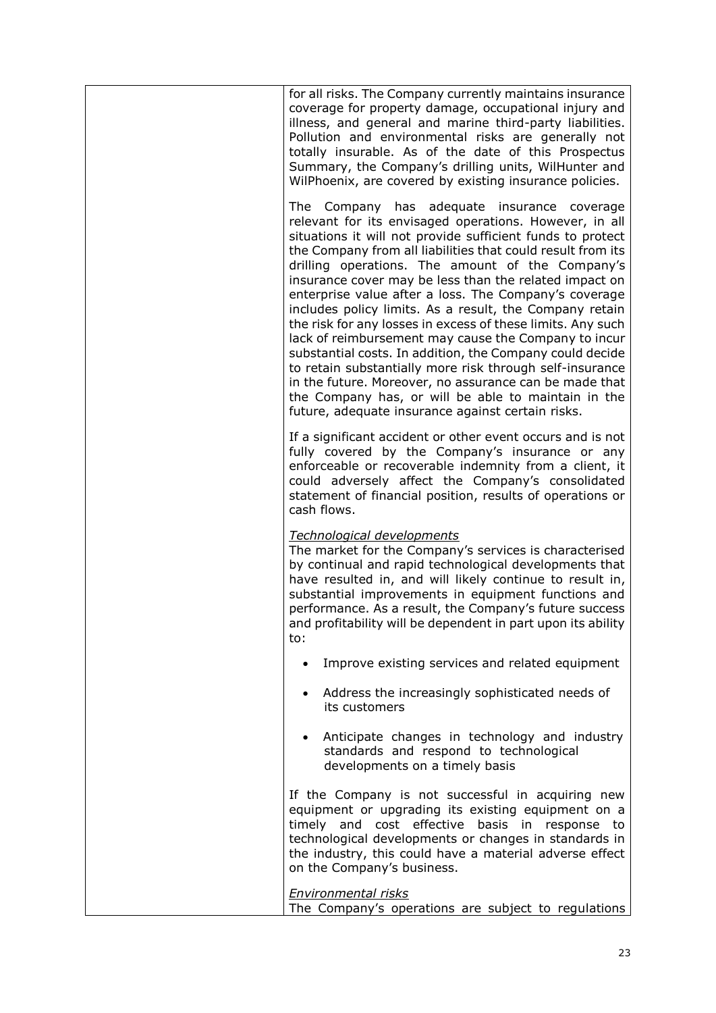| for all risks. The Company currently maintains insurance<br>coverage for property damage, occupational injury and<br>illness, and general and marine third-party liabilities.<br>Pollution and environmental risks are generally not<br>totally insurable. As of the date of this Prospectus<br>Summary, the Company's drilling units, WilHunter and<br>WilPhoenix, are covered by existing insurance policies.                                                                                                                                                                                                                                                                                                                                                                                                                                                                           |
|-------------------------------------------------------------------------------------------------------------------------------------------------------------------------------------------------------------------------------------------------------------------------------------------------------------------------------------------------------------------------------------------------------------------------------------------------------------------------------------------------------------------------------------------------------------------------------------------------------------------------------------------------------------------------------------------------------------------------------------------------------------------------------------------------------------------------------------------------------------------------------------------|
| The Company has adequate insurance coverage<br>relevant for its envisaged operations. However, in all<br>situations it will not provide sufficient funds to protect<br>the Company from all liabilities that could result from its<br>drilling operations. The amount of the Company's<br>insurance cover may be less than the related impact on<br>enterprise value after a loss. The Company's coverage<br>includes policy limits. As a result, the Company retain<br>the risk for any losses in excess of these limits. Any such<br>lack of reimbursement may cause the Company to incur<br>substantial costs. In addition, the Company could decide<br>to retain substantially more risk through self-insurance<br>in the future. Moreover, no assurance can be made that<br>the Company has, or will be able to maintain in the<br>future, adequate insurance against certain risks. |
| If a significant accident or other event occurs and is not<br>fully covered by the Company's insurance or any<br>enforceable or recoverable indemnity from a client, it<br>could adversely affect the Company's consolidated<br>statement of financial position, results of operations or<br>cash flows.                                                                                                                                                                                                                                                                                                                                                                                                                                                                                                                                                                                  |
| Technological developments<br>The market for the Company's services is characterised<br>by continual and rapid technological developments that<br>have resulted in, and will likely continue to result in,<br>substantial improvements in equipment functions and<br>performance. As a result, the Company's future success<br>and profitability will be dependent in part upon its ability<br>to:                                                                                                                                                                                                                                                                                                                                                                                                                                                                                        |
| Improve existing services and related equipment                                                                                                                                                                                                                                                                                                                                                                                                                                                                                                                                                                                                                                                                                                                                                                                                                                           |
| Address the increasingly sophisticated needs of<br>its customers                                                                                                                                                                                                                                                                                                                                                                                                                                                                                                                                                                                                                                                                                                                                                                                                                          |
| Anticipate changes in technology and industry<br>standards and respond to technological<br>developments on a timely basis                                                                                                                                                                                                                                                                                                                                                                                                                                                                                                                                                                                                                                                                                                                                                                 |
| If the Company is not successful in acquiring new<br>equipment or upgrading its existing equipment on a<br>timely and cost effective basis in response to<br>technological developments or changes in standards in<br>the industry, this could have a material adverse effect<br>on the Company's business.                                                                                                                                                                                                                                                                                                                                                                                                                                                                                                                                                                               |
| <b>Environmental risks</b><br>The Company's operations are subject to regulations                                                                                                                                                                                                                                                                                                                                                                                                                                                                                                                                                                                                                                                                                                                                                                                                         |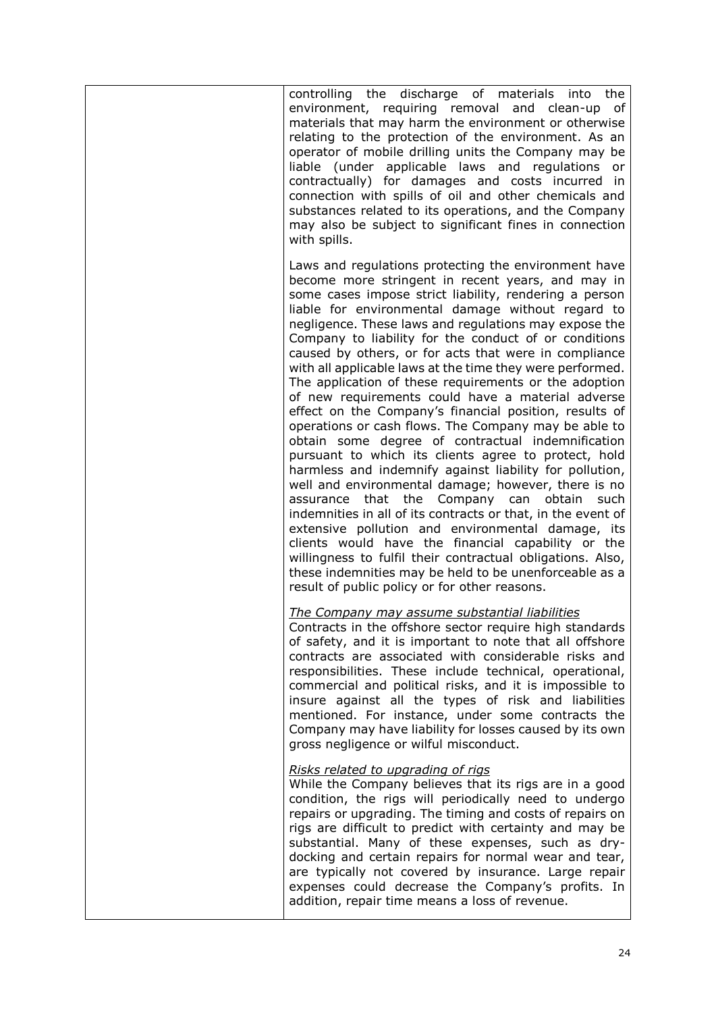| controlling the discharge of materials into the<br>environment, requiring removal and clean-up of<br>materials that may harm the environment or otherwise<br>relating to the protection of the environment. As an<br>operator of mobile drilling units the Company may be<br>liable (under applicable laws and regulations or<br>contractually) for damages and costs incurred in<br>connection with spills of oil and other chemicals and<br>substances related to its operations, and the Company<br>may also be subject to significant fines in connection<br>with spills.                                                                                                                                                                                                                                                                                                                                                                                                                                                                                                                                                                                                                                                                                                                                                        |
|--------------------------------------------------------------------------------------------------------------------------------------------------------------------------------------------------------------------------------------------------------------------------------------------------------------------------------------------------------------------------------------------------------------------------------------------------------------------------------------------------------------------------------------------------------------------------------------------------------------------------------------------------------------------------------------------------------------------------------------------------------------------------------------------------------------------------------------------------------------------------------------------------------------------------------------------------------------------------------------------------------------------------------------------------------------------------------------------------------------------------------------------------------------------------------------------------------------------------------------------------------------------------------------------------------------------------------------|
| Laws and regulations protecting the environment have<br>become more stringent in recent years, and may in<br>some cases impose strict liability, rendering a person<br>liable for environmental damage without regard to<br>negligence. These laws and regulations may expose the<br>Company to liability for the conduct of or conditions<br>caused by others, or for acts that were in compliance<br>with all applicable laws at the time they were performed.<br>The application of these requirements or the adoption<br>of new requirements could have a material adverse<br>effect on the Company's financial position, results of<br>operations or cash flows. The Company may be able to<br>obtain some degree of contractual indemnification<br>pursuant to which its clients agree to protect, hold<br>harmless and indemnify against liability for pollution,<br>well and environmental damage; however, there is no<br>assurance that the Company can obtain<br>such<br>indemnities in all of its contracts or that, in the event of<br>extensive pollution and environmental damage, its<br>clients would have the financial capability or the<br>willingness to fulfil their contractual obligations. Also,<br>these indemnities may be held to be unenforceable as a<br>result of public policy or for other reasons. |
| <u>The Company may assume substantial liabilities</u><br>Contracts in the offshore sector require high standards<br>of safety, and it is important to note that all offshore<br>contracts are associated with considerable risks and<br>responsibilities. These include technical, operational,<br>commercial and political risks, and it is impossible to<br>insure against all the types of risk and liabilities<br>mentioned. For instance, under some contracts the<br>Company may have liability for losses caused by its own<br>gross negligence or wilful misconduct.                                                                                                                                                                                                                                                                                                                                                                                                                                                                                                                                                                                                                                                                                                                                                         |
| Risks related to upgrading of rigs<br>While the Company believes that its rigs are in a good<br>condition, the rigs will periodically need to undergo<br>repairs or upgrading. The timing and costs of repairs on<br>rigs are difficult to predict with certainty and may be<br>substantial. Many of these expenses, such as dry-<br>docking and certain repairs for normal wear and tear,<br>are typically not covered by insurance. Large repair<br>expenses could decrease the Company's profits. In<br>addition, repair time means a loss of revenue.                                                                                                                                                                                                                                                                                                                                                                                                                                                                                                                                                                                                                                                                                                                                                                            |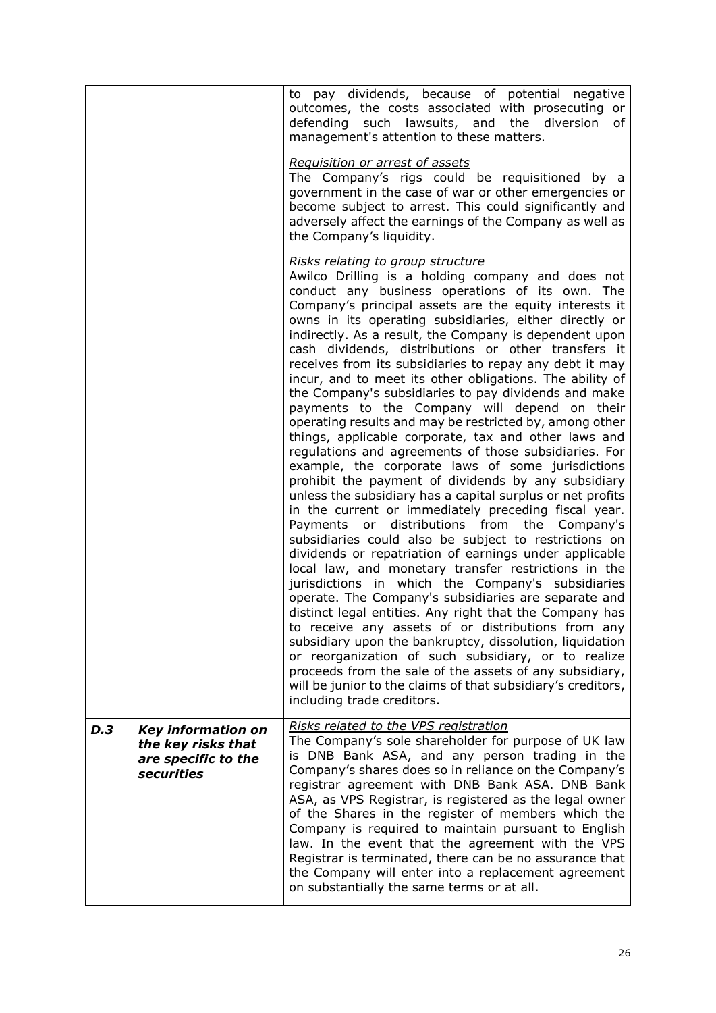|                                                                                                    | to pay dividends, because of potential negative<br>outcomes, the costs associated with prosecuting or<br>defending such lawsuits, and the diversion<br>of<br>management's attention to these matters.<br>Requisition or arrest of assets<br>The Company's rigs could be requisitioned by a<br>government in the case of war or other emergencies or<br>become subject to arrest. This could significantly and                                                                                                                                                                                                                                                                                                                                                                                                                                                                                                                                                                                                                                                                                                                                                                                                                                                                                                                                                                                                                                                                                                                                                                                                                                                                                                                                                                                                                                              |
|----------------------------------------------------------------------------------------------------|------------------------------------------------------------------------------------------------------------------------------------------------------------------------------------------------------------------------------------------------------------------------------------------------------------------------------------------------------------------------------------------------------------------------------------------------------------------------------------------------------------------------------------------------------------------------------------------------------------------------------------------------------------------------------------------------------------------------------------------------------------------------------------------------------------------------------------------------------------------------------------------------------------------------------------------------------------------------------------------------------------------------------------------------------------------------------------------------------------------------------------------------------------------------------------------------------------------------------------------------------------------------------------------------------------------------------------------------------------------------------------------------------------------------------------------------------------------------------------------------------------------------------------------------------------------------------------------------------------------------------------------------------------------------------------------------------------------------------------------------------------------------------------------------------------------------------------------------------------|
|                                                                                                    | adversely affect the earnings of the Company as well as<br>the Company's liquidity.<br>Risks relating to group structure<br>Awilco Drilling is a holding company and does not<br>conduct any business operations of its own. The<br>Company's principal assets are the equity interests it<br>owns in its operating subsidiaries, either directly or<br>indirectly. As a result, the Company is dependent upon<br>cash dividends, distributions or other transfers it<br>receives from its subsidiaries to repay any debt it may<br>incur, and to meet its other obligations. The ability of<br>the Company's subsidiaries to pay dividends and make<br>payments to the Company will depend on their<br>operating results and may be restricted by, among other<br>things, applicable corporate, tax and other laws and<br>regulations and agreements of those subsidiaries. For<br>example, the corporate laws of some jurisdictions<br>prohibit the payment of dividends by any subsidiary<br>unless the subsidiary has a capital surplus or net profits<br>in the current or immediately preceding fiscal year.<br>Payments or distributions from the<br>Company's<br>subsidiaries could also be subject to restrictions on<br>dividends or repatriation of earnings under applicable<br>local law, and monetary transfer restrictions in the<br>jurisdictions in which the Company's subsidiaries<br>operate. The Company's subsidiaries are separate and<br>distinct legal entities. Any right that the Company has<br>to receive any assets of or distributions from any<br>subsidiary upon the bankruptcy, dissolution, liquidation<br>or reorganization of such subsidiary, or to realize<br>proceeds from the sale of the assets of any subsidiary,<br>will be junior to the claims of that subsidiary's creditors,<br>including trade creditors. |
| D.3<br><b>Key information on</b><br>the key risks that<br>are specific to the<br><b>securities</b> | Risks related to the VPS registration<br>The Company's sole shareholder for purpose of UK law<br>is DNB Bank ASA, and any person trading in the<br>Company's shares does so in reliance on the Company's<br>registrar agreement with DNB Bank ASA. DNB Bank<br>ASA, as VPS Registrar, is registered as the legal owner<br>of the Shares in the register of members which the<br>Company is required to maintain pursuant to English<br>law. In the event that the agreement with the VPS<br>Registrar is terminated, there can be no assurance that<br>the Company will enter into a replacement agreement<br>on substantially the same terms or at all.                                                                                                                                                                                                                                                                                                                                                                                                                                                                                                                                                                                                                                                                                                                                                                                                                                                                                                                                                                                                                                                                                                                                                                                                   |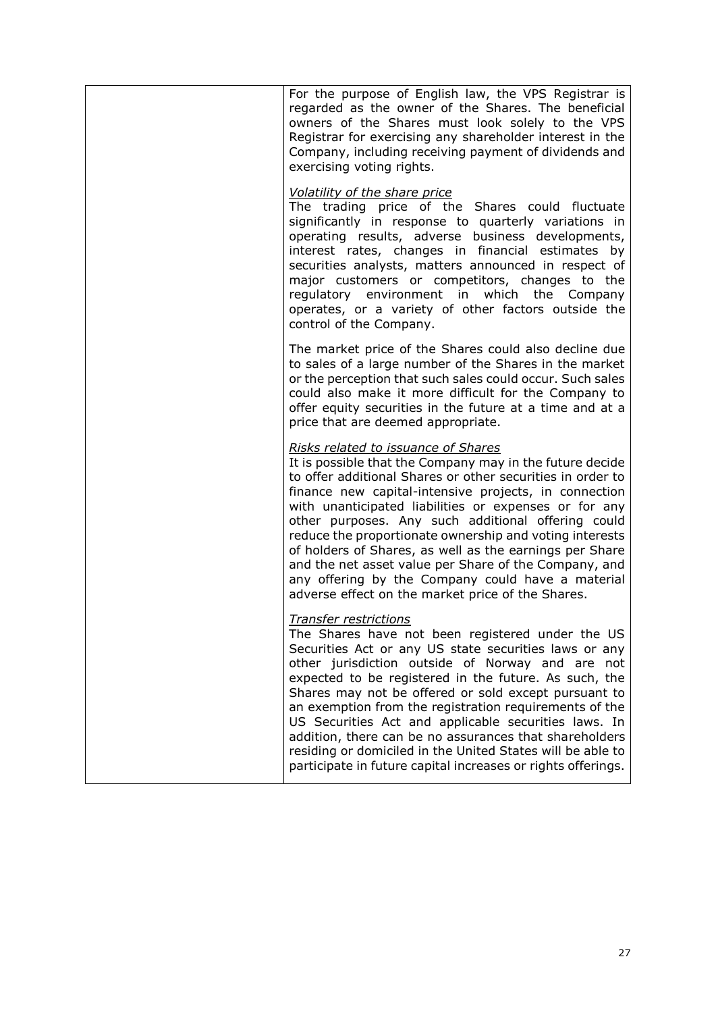| For the purpose of English law, the VPS Registrar is<br>regarded as the owner of the Shares. The beneficial<br>owners of the Shares must look solely to the VPS<br>Registrar for exercising any shareholder interest in the<br>Company, including receiving payment of dividends and<br>exercising voting rights.                                                                                                                                                                                                                                                                                                              |
|--------------------------------------------------------------------------------------------------------------------------------------------------------------------------------------------------------------------------------------------------------------------------------------------------------------------------------------------------------------------------------------------------------------------------------------------------------------------------------------------------------------------------------------------------------------------------------------------------------------------------------|
| Volatility of the share price<br>The trading price of the Shares could fluctuate<br>significantly in response to quarterly variations in<br>operating results, adverse business developments,<br>interest rates, changes in financial estimates by<br>securities analysts, matters announced in respect of<br>major customers or competitors, changes to the<br>regulatory environment in which the Company<br>operates, or a variety of other factors outside the<br>control of the Company.                                                                                                                                  |
| The market price of the Shares could also decline due<br>to sales of a large number of the Shares in the market<br>or the perception that such sales could occur. Such sales<br>could also make it more difficult for the Company to<br>offer equity securities in the future at a time and at a<br>price that are deemed appropriate.                                                                                                                                                                                                                                                                                         |
| Risks related to issuance of Shares<br>It is possible that the Company may in the future decide<br>to offer additional Shares or other securities in order to<br>finance new capital-intensive projects, in connection<br>with unanticipated liabilities or expenses or for any<br>other purposes. Any such additional offering could<br>reduce the proportionate ownership and voting interests<br>of holders of Shares, as well as the earnings per Share<br>and the net asset value per Share of the Company, and<br>any offering by the Company could have a material<br>adverse effect on the market price of the Shares. |
| <b>Transfer restrictions</b><br>The Shares have not been registered under the US<br>Securities Act or any US state securities laws or any<br>other jurisdiction outside of Norway and are not<br>expected to be registered in the future. As such, the<br>Shares may not be offered or sold except pursuant to<br>an exemption from the registration requirements of the<br>US Securities Act and applicable securities laws. In<br>addition, there can be no assurances that shareholders<br>residing or domiciled in the United States will be able to<br>participate in future capital increases or rights offerings.       |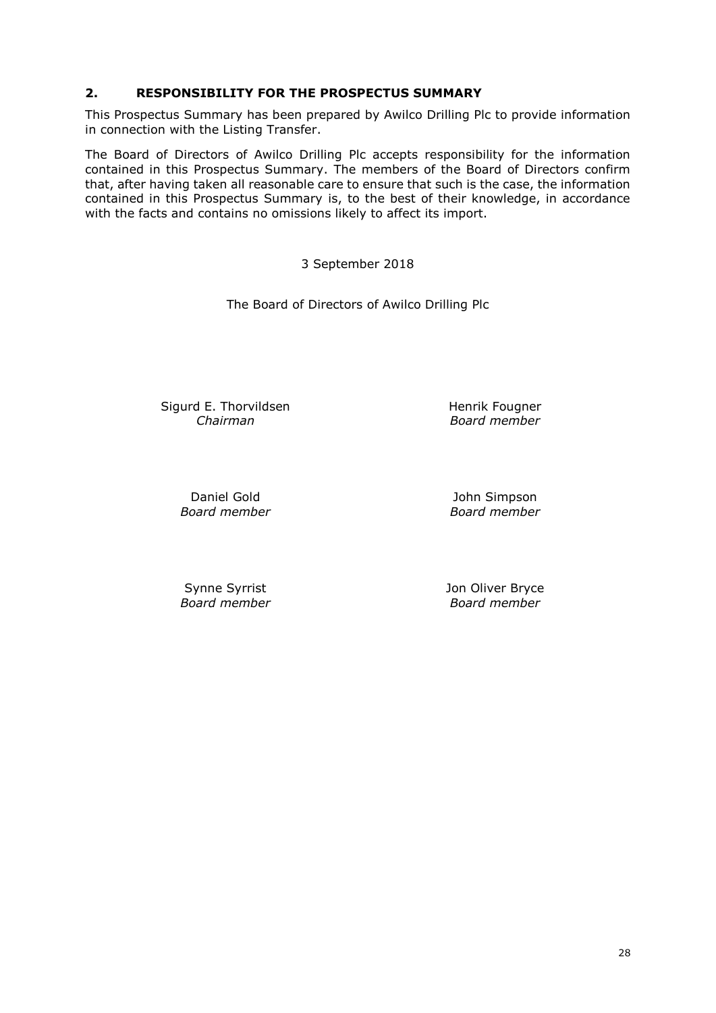### **2. RESPONSIBILITY FOR THE PROSPECTUS SUMMARY**

This Prospectus Summary has been prepared by Awilco Drilling Plc to provide information in connection with the Listing Transfer.

The Board of Directors of Awilco Drilling Plc accepts responsibility for the information contained in this Prospectus Summary. The members of the Board of Directors confirm that, after having taken all reasonable care to ensure that such is the case, the information contained in this Prospectus Summary is, to the best of their knowledge, in accordance with the facts and contains no omissions likely to affect its import.

3 September 2018

The Board of Directors of Awilco Drilling Plc

Sigurd E. Thorvildsen *Chairman*

Henrik Fougner *Board member*

Daniel Gold *Board member*

John Simpson *Board member*

Synne Syrrist *Board member* Jon Oliver Bryce *Board member*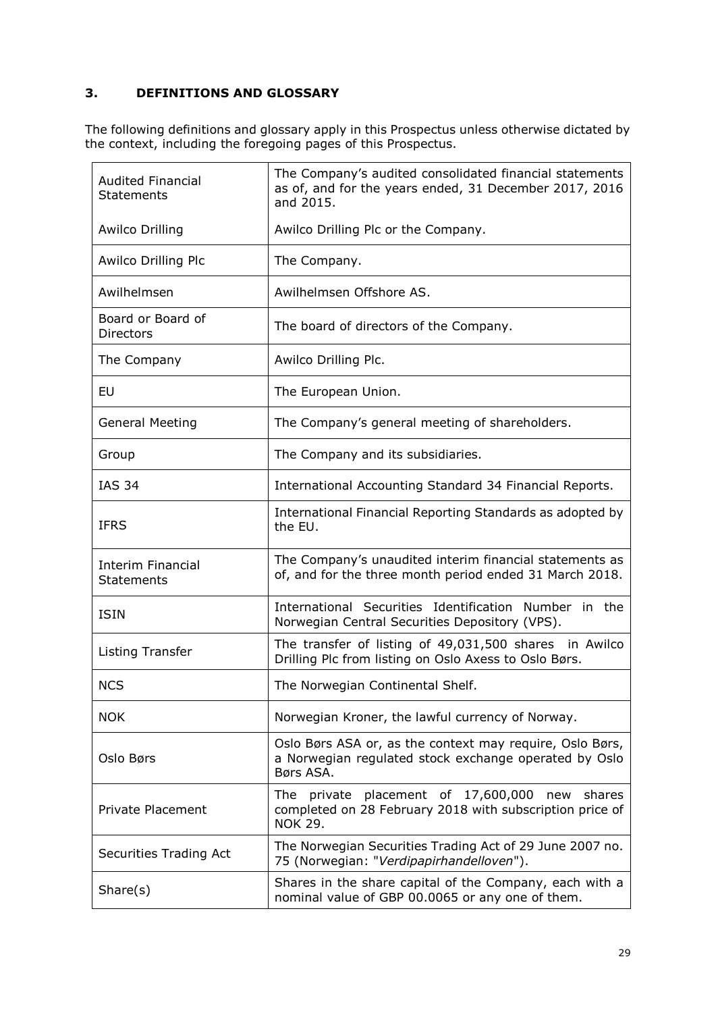# **3. DEFINITIONS AND GLOSSARY**

The following definitions and glossary apply in this Prospectus unless otherwise dictated by the context, including the foregoing pages of this Prospectus.

| <b>Audited Financial</b><br><b>Statements</b> | The Company's audited consolidated financial statements<br>as of, and for the years ended, 31 December 2017, 2016<br>and 2015.  |
|-----------------------------------------------|---------------------------------------------------------------------------------------------------------------------------------|
| <b>Awilco Drilling</b>                        | Awilco Drilling Plc or the Company.                                                                                             |
| Awilco Drilling Plc                           | The Company.                                                                                                                    |
| Awilhelmsen                                   | Awilhelmsen Offshore AS.                                                                                                        |
| Board or Board of<br>Directors                | The board of directors of the Company.                                                                                          |
| The Company                                   | Awilco Drilling Plc.                                                                                                            |
| EU                                            | The European Union.                                                                                                             |
| <b>General Meeting</b>                        | The Company's general meeting of shareholders.                                                                                  |
| Group                                         | The Company and its subsidiaries.                                                                                               |
| <b>IAS 34</b>                                 | International Accounting Standard 34 Financial Reports.                                                                         |
| <b>IFRS</b>                                   | International Financial Reporting Standards as adopted by<br>the EU.                                                            |
| <b>Interim Financial</b><br><b>Statements</b> | The Company's unaudited interim financial statements as<br>of, and for the three month period ended 31 March 2018.              |
| <b>ISIN</b>                                   | International Securities Identification Number in the<br>Norwegian Central Securities Depository (VPS).                         |
| Listing Transfer                              | The transfer of listing of 49,031,500 shares in Awilco<br>Drilling Plc from listing on Oslo Axess to Oslo Børs.                 |
| <b>NCS</b>                                    | The Norwegian Continental Shelf.                                                                                                |
| <b>NOK</b>                                    | Norwegian Kroner, the lawful currency of Norway.                                                                                |
| Oslo Børs                                     | Oslo Børs ASA or, as the context may require, Oslo Børs,<br>a Norwegian regulated stock exchange operated by Oslo<br>Børs ASA.  |
| <b>Private Placement</b>                      | The private placement of 17,600,000 new<br>shares<br>completed on 28 February 2018 with subscription price of<br><b>NOK 29.</b> |
| Securities Trading Act                        | The Norwegian Securities Trading Act of 29 June 2007 no.<br>75 (Norwegian: "Verdipapirhandelloven").                            |
| Share(s)                                      | Shares in the share capital of the Company, each with a<br>nominal value of GBP 00.0065 or any one of them.                     |